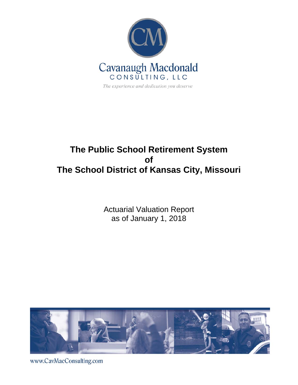

# **The Public School Retirement System of The School District of Kansas City, Missouri**

Actuarial Valuation Report as of January 1, 2018



www.CavMacConsulting.com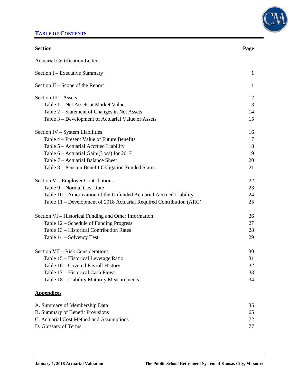## **TABLE OF CONTENTS**



| <b>Section</b>                                                       | <u>Page</u> |
|----------------------------------------------------------------------|-------------|
| <b>Actuarial Certification Letter</b>                                |             |
| Section I – Executive Summary                                        | 1           |
| Section $II -$ Scope of the Report                                   | 11          |
| Section III - Assets                                                 | 12          |
| Table 1 – Net Assets at Market Value                                 | 13          |
| Table 2 – Statement of Changes in Net Assets                         | 14          |
| Table 3 – Development of Actuarial Value of Assets                   | 15          |
| Section IV – System Liabilities                                      | 16          |
| Table 4 – Present Value of Future Benefits                           | 17          |
| Table 5 - Actuarial Accrued Liability                                | 18          |
| Table $6$ – Actuarial Gain/(Loss) for 2017                           | 19          |
| Table 7 – Actuarial Balance Sheet                                    | 20          |
| Table 8 - Pension Benefit Obligation Funded Status                   | 21          |
| Section V – Employer Contributions                                   | 22          |
| Table 9 - Normal Cost Rate                                           | 23          |
| Table 10 - Amortization of the Unfunded Actuarial Accrued Liability  | 24          |
| Table 11 – Development of 2018 Actuarial Required Contribution (ARC) | 25          |
| Section VI – Historical Funding and Other Information                | 26          |
| Table 12 – Schedule of Funding Progress                              | 27          |
| Table 13 – Historical Contribution Rates                             | 28          |
| Table 14 – Solvency Test                                             | 29          |
| Section VII - Risk Considerations                                    | 30          |
| Table 15 – Historical Leverage Ratio                                 | 31          |
| Table 16 - Covered Payroll History                                   | 32          |
| Table 17 - Historical Cash Flows                                     | 33          |
| Table 18 – Liability Maturity Measurements                           | 34          |
| <b>Appendices</b>                                                    |             |
| A. Summary of Membership Data                                        | 35          |
| B. Summary of Benefit Provisions                                     | 65          |
| C. Actuarial Cost Method and Assumptions                             | 72          |
| D. Glossary of Terms                                                 | 77          |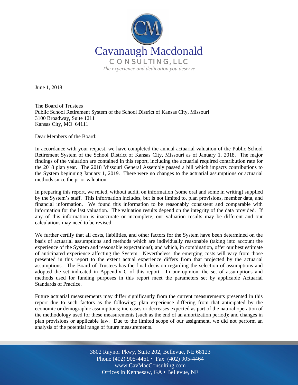

June 1, 2018

The Board of Trustees Public School Retirement System of the School District of Kansas City, Missouri 3100 Broadway, Suite 1211 Kansas City, MO 64111

Dear Members of the Board:

In accordance with your request, we have completed the annual actuarial valuation of the Public School Retirement System of the School District of Kansas City, Missouri as of January 1, 2018. The major findings of the valuation are contained in this report, including the actuarial required contribution rate for the 2018 plan year. The 2018 Missouri General Assembly passed a bill which impacts contributions to the System beginning January 1, 2019. There were no changes to the actuarial assumptions or actuarial methods since the prior valuation.

In preparing this report, we relied, without audit, on information (some oral and some in writing) supplied by the System's staff. This information includes, but is not limited to, plan provisions, member data, and financial information. We found this information to be reasonably consistent and comparable with information for the last valuation. The valuation results depend on the integrity of the data provided. If any of this information is inaccurate or incomplete, our valuation results may be different and our calculations may need to be revised.

We further certify that all costs, liabilities, and other factors for the System have been determined on the basis of actuarial assumptions and methods which are individually reasonable (taking into account the experience of the System and reasonable expectations); and which, in combination, offer our best estimate of anticipated experience affecting the System. Nevertheless, the emerging costs will vary from those presented in this report to the extent actual experience differs from that projected by the actuarial assumptions. The Board of Trustees has the final decision regarding the selection of assumptions and adopted the set indicated in Appendix C of this report. In our opinion, the set of assumptions and methods used for funding purposes in this report meet the parameters set by applicable Actuarial Standards of Practice.

Future actuarial measurements may differ significantly from the current measurements presented in this report due to such factors as the following: plan experience differing from that anticipated by the economic or demographic assumptions; increases or decreases expected as part of the natural operation of the methodology used for these measurements (such as the end of an amortization period); and changes in plan provisions or applicable law. Due to the limited scope of our assignment, we did not perform an analysis of the potential range of future measurements.

> Off Offices in Kennesaw, GA • Bellevue, NE 3802 Raynor Pkwy, Suite 202, Bellevue, NE 68123 Phone (402) 905-4461 • Fax (402) 905-4464 www.CavMacConsulting.com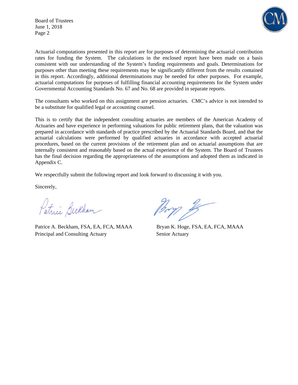Board of Trustees June 1, 2018 Page 2



Actuarial computations presented in this report are for purposes of determining the actuarial contribution rates for funding the System. The calculations in the enclosed report have been made on a basis consistent with our understanding of the System's funding requirements and goals. Determinations for purposes other than meeting these requirements may be significantly different from the results contained in this report. Accordingly, additional determinations may be needed for other purposes. For example, actuarial computations for purposes of fulfilling financial accounting requirements for the System under Governmental Accounting Standards No. 67 and No. 68 are provided in separate reports.

The consultants who worked on this assignment are pension actuaries. CMC's advice is not intended to be a substitute for qualified legal or accounting counsel.

This is to certify that the independent consulting actuaries are members of the American Academy of Actuaries and have experience in performing valuations for public retirement plans, that the valuation was prepared in accordance with standards of practice prescribed by the Actuarial Standards Board, and that the actuarial calculations were performed by qualified actuaries in accordance with accepted actuarial procedures, based on the current provisions of the retirement plan and on actuarial assumptions that are internally consistent and reasonably based on the actual experience of the System. The Board of Trustees has the final decision regarding the appropriateness of the assumptions and adopted them as indicated in Appendix C.

We respectfully submit the following report and look forward to discussing it with you.

Sincerely,

Patrici Beckham

Patrice A. Beckham, FSA, EA, FCA, MAAA Bryan K. Hoge, FSA, EA, FCA, MAAA Principal and Consulting Actuary Senior Actuary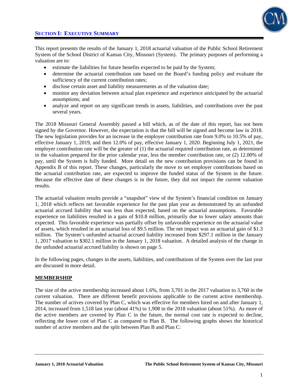

This report presents the results of the January 1, 2018 actuarial valuation of the Public School Retirement System of the School District of Kansas City, Missouri (System). The primary purposes of performing a valuation are to:

- estimate the liabilities for future benefits expected to be paid by the System;
- determine the actuarial contribution rate based on the Board's funding policy and evaluate the sufficiency of the current contribution rates;
- disclose certain asset and liability measurements as of the valuation date;
- monitor any deviation between actual plan experience and experience anticipated by the actuarial assumptions; and
- analyze and report on any significant trends in assets, liabilities, and contributions over the past several years.

The 2018 Missouri General Assembly passed a bill which, as of the date of this report, has not been signed by the Governor. However, the expectation is that the bill will be signed and become law in 2018. The new legislation provides for an increase in the employer contribution rate from 9.0% to 10.5% of pay, effective January 1, 2019, and then 12.0% of pay, effective January 1, 2020. Beginning July 1, 2021, the employer contribution rate will be the greater of (1) the actuarial required contribution rate, as determined in the valuation prepared for the prior calendar year, less the member contribution rate, or (2) 12.00% of pay, until the System is fully funded. More detail on the new contribution provisions can be found in Appendix B of this report. These changes, particularly the move to set employer contributions based on the actuarial contribution rate, are expected to improve the funded status of the System in the future. Because the effective date of these changes is in the future, they did not impact the current valuation results.

The actuarial valuation results provide a "snapshot" view of the System's financial condition on January 1, 2018 which reflects net favorable experience for the past plan year as demonstrated by an unfunded actuarial accrued liability that was less than expected, based on the actuarial assumptions. Favorable experience on liabilities resulted in a gain of \$10.8 million, primarily due to lower salary amounts than expected. This favorable experience was partially offset by unfavorable experience on the actuarial value of assets, which resulted in an actuarial loss of \$9.5 million. The net impact was an actuarial gain of \$1.3 million. The System's unfunded actuarial accrued liability increased from \$297.1 million in the January 1, 2017 valuation to \$302.1 million in the January 1, 2018 valuation. A detailed analysis of the change in the unfunded actuarial accrued liability is shown on page 5.

In the following pages, changes in the assets, liabilities, and contributions of the System over the last year are discussed in more detail.

### **MEMBERSHIP**

The size of the active membership increased about 1.6%, from 3,701 in the 2017 valuation to 3,760 in the current valuation. There are different benefit provisions applicable to the current active membership. The number of actives covered by Plan C, which was effective for members hired on and after January 1, 2014, increased from 1,518 last year (about 41%) to 1,908 in the 2018 valuation (about 51%). As more of the active members are covered by Plan C in the future, the normal cost rate is expected to decline, reflecting the lower cost of Plan C as compared to Plan B. The following graphs shows the historical number of active members and the split between Plan B and Plan C: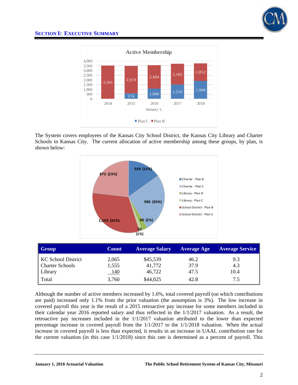



The System covers employees of the Kansas City School District, the Kansas City Library and Charter Schools in Kansas City. The current allocation of active membership among these groups, by plan, is shown below:



| <b>Group</b>           | <b>Count</b> | <b>Average Salary</b> | <b>Average Age</b> | <b>Average Service</b> |
|------------------------|--------------|-----------------------|--------------------|------------------------|
| KC School District     | 2,065        | \$45,539              | 46.2               | 9.3                    |
| <b>Charter Schools</b> | 1,555        | 41,772                | 37.9               | 4.3                    |
| Library                | <u>140</u>   | 46,722                | 47.5               | 10.4                   |
| Total                  | 3,760        | \$44,025              | 42.8               | 7.5                    |

Although the number of active members increased by 1.6%, total covered payroll (on which contributions are paid) increased only 1.1% from the prior valuation (the assumption is 3%). The low increase in covered payroll this year is the result of a 2015 retroactive pay increase for some members included in their calendar year 2016 reported salary and thus reflected in the 1/1/2017 valuation. As a result, the retroactive pay increases included in the 1/1/2017 valuation attributed to the lower than expected percentage increase in covered payroll from the 1/1/2017 to the 1/1/2018 valuation. When the actual increase in covered payroll is less than expected, it results in an increase in UAAL contribution rate for the current valuation (in this case  $1/1/2018$ ) since this rate is determined as a percent of payroll. This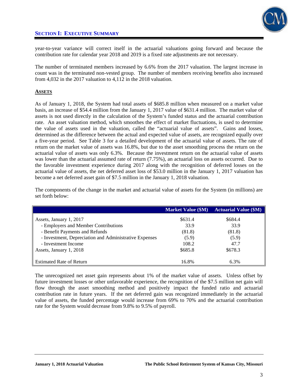

year-to-year variance will correct itself in the actuarial valuations going forward and because the contribution rate for calendar year 2018 and 2019 is a fixed rate adjustments are not necessary.

The number of terminated members increased by 6.6% from the 2017 valuation. The largest increase in count was in the terminated non-vested group. The number of members receiving benefits also increased from 4,032 in the 2017 valuation to 4,112 in the 2018 valuation.

### **ASSETS**

As of January 1, 2018, the System had total assets of \$685.8 million when measured on a market value basis, an increase of \$54.4 million from the January 1, 2017 value of \$631.4 million. The market value of assets is not used directly in the calculation of the System's funded status and the actuarial contribution rate. An asset valuation method, which smoothes the effect of market fluctuations, is used to determine the value of assets used in the valuation, called the "actuarial value of assets". Gains and losses, determined as the difference between the actual and expected value of assets, are recognized equally over a five-year period. See Table 3 for a detailed development of the actuarial value of assets. The rate of return on the market value of assets was 16.8%, but due to the asset smoothing process the return on the actuarial value of assets was only 6.3%. Because the investment return on the actuarial value of assets was lower than the actuarial assumed rate of return (7.75%), an actuarial loss on assets occurred. Due to the favorable investment experience during 2017 along with the recognition of deferred losses on the actuarial value of assets, the net deferred asset loss of \$53.0 million in the January 1, 2017 valuation has become a net deferred asset gain of \$7.5 million in the January 1, 2018 valuation.

The components of the change in the market and actuarial value of assets for the System (in millions) are set forth below:

|                                                        | <b>Market Value (\$M)</b> | <b>Actuarial Value (\$M)</b> |
|--------------------------------------------------------|---------------------------|------------------------------|
| Assets, January 1, 2017                                | \$631.4                   | \$684.4                      |
| - Employers and Member Contributions                   | 33.9                      | 33.9                         |
| - Benefit Payments and Refunds                         | (81.8)                    | (81.8)                       |
| - Investment, Depreciation and Administrative Expenses | (5.9)                     | (5.9)                        |
| - Investment Income                                    | 108.2                     | 47.7                         |
| Assets, January 1, 2018                                | \$685.8                   | \$678.3                      |
|                                                        |                           |                              |
| <b>Estimated Rate of Return</b>                        | 16.8%                     | 6.3%                         |

The unrecognized net asset gain represents about 1% of the market value of assets. Unless offset by future investment losses or other unfavorable experience, the recognition of the \$7.5 million net gain will flow through the asset smoothing method and positively impact the funded ratio and actuarial contribution rate in future years. If the net deferred gain was recognized immediately in the actuarial value of assets, the funded percentage would increase from 69% to 70% and the actuarial contribution rate for the System would decrease from 9.8% to 9.5% of payroll.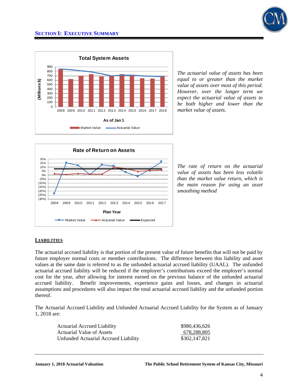



*The actuarial value of assets has been equal to or greater than the market value of assets over most of this period. However, over the longer term we expect the actuarial value of assets to be both higher and lower than the market value of assets.* 



*The rate of return on the actuarial value of assets has been less volatile than the market value return, which is the main reason for using an asset smoothing method*

### **LIABILITIES**

The actuarial accrued liability is that portion of the present value of future benefits that will not be paid by future employer normal costs or member contributions. The difference between this liability and asset values at the same date is referred to as the unfunded actuarial accrued liability (UAAL). The unfunded actuarial accrued liability will be reduced if the employer's contributions exceed the employer's normal cost for the year, after allowing for interest earned on the previous balance of the unfunded actuarial accrued liability. Benefit improvements, experience gains and losses, and changes in actuarial assumptions and procedures will also impact the total actuarial accrued liability and the unfunded portion thereof.

The Actuarial Accrued Liability and Unfunded Actuarial Accrued Liability for the System as of January 1, 2018 are:

| <b>Actuarial Accrued Liability</b>   | \$980,436,626 |
|--------------------------------------|---------------|
| Actuarial Value of Assets            | 678,288,805   |
| Unfunded Actuarial Accrued Liability | \$302,147,821 |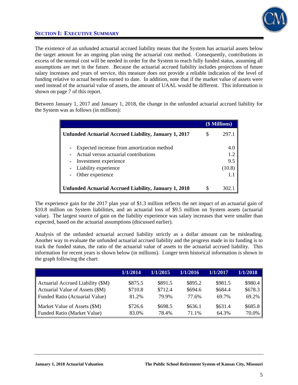

The existence of an unfunded actuarial accrued liability means that the System has actuarial assets below the target amount for an ongoing plan using the actuarial cost method. Consequently, contributions in excess of the normal cost will be needed in order for the System to reach fully funded status, assuming all assumptions are met in the future. Because the actuarial accrued liability includes projections of future salary increases and years of service, this measure does not provide a reliable indication of the level of funding relative to actual benefits earned to date. In addition, note that if the market value of assets were used instead of the actuarial value of assets, the amount of UAAL would be different. This information is shown on page 7 of this report.

Between January 1, 2017 and January 1, 2018, the change in the unfunded actuarial accrued liability for the System was as follows (in millions):

|                                                                                                                                                          |    | (\$ Millions)               |
|----------------------------------------------------------------------------------------------------------------------------------------------------------|----|-----------------------------|
| Unfunded Actuarial Accrued Liability, January 1, 2017                                                                                                    |    | 297.1                       |
| Expected increase from amortization method<br>Actual versus actuarial contributions<br>Investment experience<br>Liability experience<br>Other experience |    | 4.0<br>1.2<br>9.5<br>(10.8) |
| <b>Unfunded Actuarial Accrued Liability, January 1, 2018</b>                                                                                             | \$ |                             |

The experience gain for the 2017 plan year of \$1.3 million reflects the net impact of an actuarial gain of \$10.8 million on System liabilities, and an actuarial loss of \$9.5 million on System assets (actuarial value). The largest source of gain on the liability experience was salary increases that were smaller than expected, based on the actuarial assumptions (discussed earlier).

Analysis of the unfunded actuarial accrued liability strictly as a dollar amount can be misleading. Another way to evaluate the unfunded actuarial accrued liability and the progress made in its funding is to track the funded status, the ratio of the actuarial value of assets to the actuarial accrued liability. This information for recent years is shown below (in millions). Longer term historical information is shown in the graph following the chart:

|                                   | 1/1/2014 | 1/1/2015 | 1/1/2016 | 1/1/2017 | 1/1/2018 |
|-----------------------------------|----------|----------|----------|----------|----------|
| Actuarial Accrued Liability (\$M) | \$875.5  | \$891.5  | \$895.2  | \$981.5  | \$980.4  |
| Actuarial Value of Assets (\$M)   | \$710.8  | \$712.4  | \$694.6  | \$684.4  | \$678.3  |
| Funded Ratio (Actuarial Value)    | 81.2%    | 79.9%    | 77.6%    | 69.7%    | 69.2%    |
| Market Value of Assets (\$M)      | \$726.6  | \$698.5  | \$636.1  | \$631.4  | \$685.8  |
| Funded Ratio (Market Value)       | 83.0%    | 78.4%    | 71.1%    | 64.3%    | 70.0%    |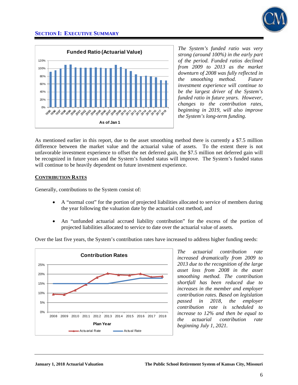



*The System's funded ratio was very strong (around 100%) in the early part of the period. Funded ratios declined from 2009 to 2013 as the market downturn of 2008 was fully reflected in the smoothing method. Future investment experience will continue to be the largest driver of the System's funded ratio in future years. However, changes to the contribution rates, beginning in 2019, will also improve the System's long-term funding.* 

As mentioned earlier in this report, due to the asset smoothing method there is currently a \$7.5 million difference between the market value and the actuarial value of assets. To the extent there is not unfavorable investment experience to offset the net deferred gain, the \$7.5 million net deferred gain will be recognized in future years and the System's funded status will improve. The System's funded status will continue to be heavily dependent on future investment experience.

### **CONTRIBUTION RATES**

Generally, contributions to the System consist of:

- A "normal cost" for the portion of projected liabilities allocated to service of members during the year following the valuation date by the actuarial cost method, and
- An "unfunded actuarial accrued liability contribution" for the excess of the portion of projected liabilities allocated to service to date over the actuarial value of assets.

Over the last five years, the System's contribution rates have increased to address higher funding needs:



*The actuarial contribution rate increased dramatically from 2009 to 2013 due to the recognition of the large asset loss from 2008 in the asset smoothing method. The contribution shortfall has been reduced due to increases in the member and employer contribution rates. Based on legislation passed in 2018, the employer contribution rate is scheduled to increase to 12% and then be equal to the actuarial contribution rate beginning July 1, 2021.*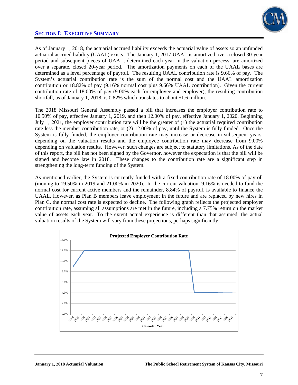

As of January 1, 2018, the actuarial accrued liability exceeds the actuarial value of assets so an unfunded actuarial accrued liability (UAAL) exists. The January 1, 2017 UAAL is amortized over a closed 30-year period and subsequent pieces of UAAL, determined each year in the valuation process, are amortized over a separate, closed 20-year period. The amortization payments on each of the UAAL bases are determined as a level percentage of payroll. The resulting UAAL contribution rate is 9.66% of pay. The System's actuarial contribution rate is the sum of the normal cost and the UAAL amortization contribution or 18.82% of pay (9.16% normal cost plus 9.66% UAAL contribution). Given the current contribution rate of 18.00% of pay (9.00% each for employee and employer), the resulting contribution shortfall, as of January 1, 2018, is 0.82% which translates to about \$1.6 million.

The 2018 Missouri General Assembly passed a bill that increases the employer contribution rate to 10.50% of pay, effective January 1, 2019, and then 12.00% of pay, effective January 1, 2020. Beginning July 1, 2021, the employer contribution rate will be the greater of (1) the actuarial required contribution rate less the member contribution rate, or (2) 12.00% of pay, until the System is fully funded. Once the System is fully funded, the employer contribution rate may increase or decrease in subsequent years, depending on the valuation results and the employee contribution rate may decrease from 9.00% depending on valuation results. However, such changes are subject to statutory limitations. As of the date of this report, the bill has not been signed by the Governor, however the expectation is that the bill will be signed and become law in 2018. These changes to the contribution rate are a significant step in strengthening the long-term funding of the System.

As mentioned earlier, the System is currently funded with a fixed contribution rate of 18.00% of payroll (moving to 19.50% in 2019 and 21.00% in 2020). In the current valuation, 9.16% is needed to fund the normal cost for current active members and the remainder, 8.84% of payroll, is available to finance the UAAL. However, as Plan B members leave employment in the future and are replaced by new hires in Plan C, the normal cost rate is expected to decline. The following graph reflects the projected employer contribution rate, assuming all assumptions are met in the future, including a 7.75% return on the market value of assets each year. To the extent actual experience is different than that assumed, the actual valuation results of the System will vary from these projections, perhaps significantly.

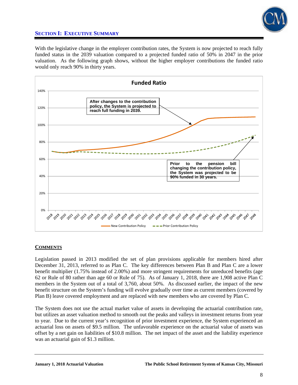

With the legislative change in the employer contribution rates, the System is now projected to reach fully funded status in the 2039 valuation compared to a projected funded ratio of 50% in 2047 in the prior valuation. As the following graph shows, without the higher employer contributions the funded ratio would only reach 90% in thirty years.



### **COMMENTS**

Legislation passed in 2013 modified the set of plan provisions applicable for members hired after December 31, 2013, referred to as Plan C. The key differences between Plan B and Plan C are a lower benefit multiplier (1.75% instead of 2.00%) and more stringent requirements for unreduced benefits (age 62 or Rule of 80 rather than age 60 or Rule of 75). As of January 1, 2018, there are 1,908 active Plan C members in the System out of a total of 3,760, about 50%. As discussed earlier, the impact of the new benefit structure on the System's funding will evolve gradually over time as current members (covered by Plan B) leave covered employment and are replaced with new members who are covered by Plan C.

The System does not use the actual market value of assets in developing the actuarial contribution rate, but utilizes an asset valuation method to smooth out the peaks and valleys in investment returns from year to year. Due to the current year's recognition of prior investment experience, the System experienced an actuarial loss on assets of \$9.5 million. The unfavorable experience on the actuarial value of assets was offset by a net gain on liabilities of \$10.8 million. The net impact of the asset and the liability experience was an actuarial gain of \$1.3 million.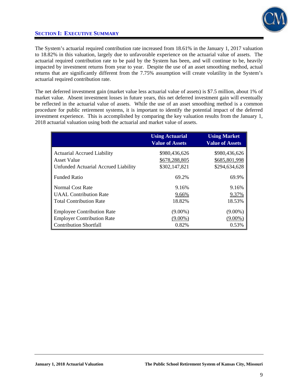

The System's actuarial required contribution rate increased from 18.61% in the January 1, 2017 valuation to 18.82% in this valuation, largely due to unfavorable experience on the actuarial value of assets. The actuarial required contribution rate to be paid by the System has been, and will continue to be, heavily impacted by investment returns from year to year. Despite the use of an asset smoothing method, actual returns that are significantly different from the 7.75% assumption will create volatility in the System's actuarial required contribution rate.

The net deferred investment gain (market value less actuarial value of assets) is \$7.5 million, about 1% of market value. Absent investment losses in future years, this net deferred investment gain will eventually be reflected in the actuarial value of assets. While the use of an asset smoothing method is a common procedure for public retirement systems, it is important to identify the potential impact of the deferred investment experience. This is accomplished by comparing the key valuation results from the January 1, 2018 actuarial valuation using both the actuarial and market value of assets.

|                                             | <b>Using Actuarial</b><br><b>Value of Assets</b> | <b>Using Market</b><br><b>Value of Assets</b> |
|---------------------------------------------|--------------------------------------------------|-----------------------------------------------|
| <b>Actuarial Accrued Liability</b>          | \$980,436,626                                    | \$980,436,626                                 |
| Asset Value                                 | \$678,288,805                                    | \$685,801,998                                 |
| <b>Unfunded Actuarial Accrued Liability</b> | \$302,147,821                                    | \$294,634,628                                 |
| <b>Funded Ratio</b>                         | 69.2%                                            | 69.9%                                         |
| Normal Cost Rate                            | 9.16%                                            | 9.16%                                         |
| <b>UAAL</b> Contribution Rate               | 9.66%                                            | 9.37%                                         |
| <b>Total Contribution Rate</b>              | 18.82%                                           | 18.53%                                        |
| <b>Employee Contribution Rate</b>           | $(9.00\%)$                                       | $(9.00\%)$                                    |
| <b>Employer Contribution Rate</b>           | $(9.00\%)$                                       | $(9.00\%)$                                    |
| <b>Contribution Shortfall</b>               | 0.82%                                            | 0.53%                                         |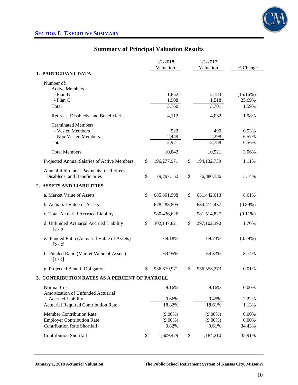

# **Summary of Principal Valuation Results**

|                                                                | 1/1/2018          |    | 1/1/2017       |                 |
|----------------------------------------------------------------|-------------------|----|----------------|-----------------|
|                                                                | Valuation         |    | Valuation      | % Change        |
| 1. PARTICIPANT DATA                                            |                   |    |                |                 |
| Number of:                                                     |                   |    |                |                 |
| <b>Active Members</b>                                          |                   |    |                |                 |
| - Plan B                                                       | 1,852             |    | 2,183          | (15.16%)        |
| - Plan C<br>Total                                              | 1,908<br>3,760    |    | 1,518<br>3,701 | 25.69%<br>1.59% |
|                                                                |                   |    |                |                 |
| Retirees, Disableds, and Beneficiaries                         | 4,112             |    | 4,032          | 1.98%           |
| <b>Terminated Members</b>                                      |                   |    |                |                 |
| - Vested Members                                               | 522               |    | 490            | 6.53%           |
| - Non-Vested Members                                           | 2,449             |    | 2,298          | 6.57%           |
| Total                                                          | 2,971             |    | 2,788          | 6.56%           |
| <b>Total Members</b>                                           | 10,843            |    | 10,521         | 3.06%           |
| Projected Annual Salaries of Active Members                    | \$<br>196,277,971 | \$ | 194,132,739    | 1.11%           |
| Annual Retirement Payments for Retirees,                       |                   |    |                |                 |
| Disableds, and Beneficiaries                                   | \$<br>79,297,152  | \$ | 76,880,736     | 3.14%           |
| 2. ASSETS AND LIABILITIES                                      |                   |    |                |                 |
| a. Market Value of Assets                                      | \$<br>685,801,998 | \$ | 631,442,613    | 8.61%           |
| b. Actuarial Value of Assets                                   | 678,288,805       |    | 684,412,437    | $(0.89\%)$      |
| c. Total Actuarial Accrued Liability                           | 980,436,626       |    | 981,514,827    | $(0.11\%)$      |
| d. Unfunded Actuarial Accrued Liability<br>$[c - b]$           | \$<br>302,147,821 | \$ | 297,102,390    | 1.70%           |
| e. Funded Ratio (Actuarial Value of Assets)<br>[b / c]         | 69.18%            |    | 69.73%         | $(0.79\%)$      |
| f. Funded Ratio (Market Value of Assets)<br>[a/c]              | 69.95%            |    | 64.33%         | 8.74%           |
| g. Projected Benefit Obligation                                | \$<br>956,679,971 | S  | 956,558,273    | 0.01%           |
| 3. CONTRIBUTION RATES AS A PERCENT OF PAYROLL                  |                   |    |                |                 |
| Normal Cost                                                    | 9.16%             |    | 9.16%          | 0.00%           |
| Amortization of Unfunded Actuarial<br><b>Accrued Liability</b> | 9.66%             |    | 9.45%          | 2.22%           |
| <b>Actuarial Required Contribution Rate</b>                    | 18.82%            |    | 18.61%         | 1.13%           |
| <b>Member Contribution Rate</b>                                | $(9.00\%)$        |    | $(9.00\%)$     | 0.00%           |
| <b>Employer Contribution Rate</b>                              | $(9.00\%)$        |    | $(9.00\%)$     | 0.00%           |
| <b>Contribution Rate Shortfall</b>                             | 0.82%             |    | 0.61%          | 34.43%          |
| <b>Contribution Shortfall</b>                                  |                   |    |                |                 |
|                                                                | \$<br>1,609,479   | \$ | 1,184,210      | 35.91%          |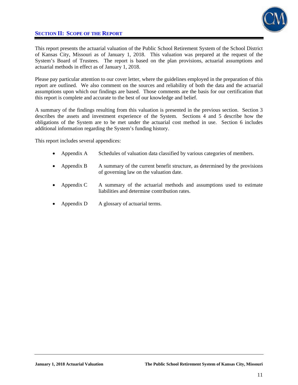## **SECTION II: SCOPE OF THE REPORT**



This report presents the actuarial valuation of the Public School Retirement System of the School District of Kansas City, Missouri as of January 1, 2018. This valuation was prepared at the request of the System's Board of Trustees. The report is based on the plan provisions, actuarial assumptions and actuarial methods in effect as of January 1, 2018.

Please pay particular attention to our cover letter, where the guidelines employed in the preparation of this report are outlined. We also comment on the sources and reliability of both the data and the actuarial assumptions upon which our findings are based. Those comments are the basis for our certification that this report is complete and accurate to the best of our knowledge and belief.

A summary of the findings resulting from this valuation is presented in the previous section. Section 3 describes the assets and investment experience of the System. Sections 4 and 5 describe how the obligations of the System are to be met under the actuarial cost method in use. Section 6 includes additional information regarding the System's funding history.

This report includes several appendices:

- Appendix A Schedules of valuation data classified by various categories of members.
- Appendix B A summary of the current benefit structure, as determined by the provisions of governing law on the valuation date.
- Appendix C A summary of the actuarial methods and assumptions used to estimate liabilities and determine contribution rates.
- Appendix D A glossary of actuarial terms.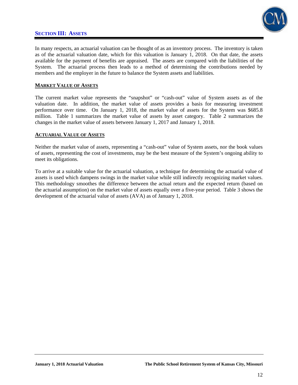## **SECTION III: ASSETS**



In many respects, an actuarial valuation can be thought of as an inventory process. The inventory is taken as of the actuarial valuation date, which for this valuation is January 1, 2018. On that date, the assets available for the payment of benefits are appraised. The assets are compared with the liabilities of the System. The actuarial process then leads to a method of determining the contributions needed by members and the employer in the future to balance the System assets and liabilities.

### **MARKET VALUE OF ASSETS**

The current market value represents the "snapshot" or "cash-out" value of System assets as of the valuation date. In addition, the market value of assets provides a basis for measuring investment performance over time. On January 1, 2018, the market value of assets for the System was \$685.8 million. Table 1 summarizes the market value of assets by asset category. Table 2 summarizes the changes in the market value of assets between January 1, 2017 and January 1, 2018.

### **ACTUARIAL VALUE OF ASSETS**

Neither the market value of assets, representing a "cash-out" value of System assets, nor the book values of assets, representing the cost of investments, may be the best measure of the System's ongoing ability to meet its obligations.

To arrive at a suitable value for the actuarial valuation, a technique for determining the actuarial value of assets is used which dampens swings in the market value while still indirectly recognizing market values. This methodology smoothes the difference between the actual return and the expected return (based on the actuarial assumption) on the market value of assets equally over a five-year period. Table 3 shows the development of the actuarial value of assets (AVA) as of January 1, 2018.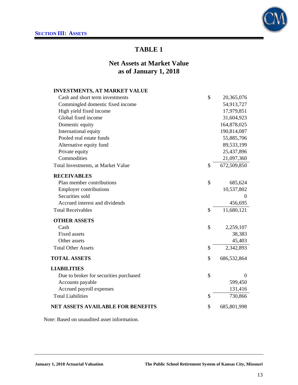

# **Net Assets at Market Value as of January 1, 2018**

| <b>INVESTMENTS, AT MARKET VALUE</b>    |                   |
|----------------------------------------|-------------------|
| Cash and short term investments        | \$<br>20,365,076  |
| Commingled domestic fixed income       | 54,913,727        |
| High yield fixed income                | 17,979,851        |
| Global fixed income                    | 31,604,923        |
| Domestic equity                        | 164,878,025       |
| International equity                   | 190,814,087       |
| Pooled real estate funds               | 55,885,706        |
| Alternative equity fund                | 89,533,199        |
| Private equity                         | 25,437,896        |
| Commodities                            | 21,097,360        |
| Total Investments, at Market Value     | \$<br>672,509,850 |
| <b>RECEIVABLES</b>                     |                   |
| Plan member contributions              | \$<br>685,624     |
| <b>Employer contributions</b>          | 10,537,802        |
| Securities sold                        | $\theta$          |
| Accrued interest and dividends         | 456,695           |
| <b>Total Receivables</b>               | \$<br>11,680,121  |
| <b>OTHER ASSETS</b>                    |                   |
| Cash                                   | \$<br>2,259,107   |
| <b>Fixed assets</b>                    | 38,383            |
| Other assets                           | 45,403            |
| <b>Total Other Assets</b>              | \$<br>2,342,893   |
| <b>TOTAL ASSETS</b>                    | \$<br>686,532,864 |
| <b>LIABILITIES</b>                     |                   |
| Due to broker for securities purchased | \$<br>$\theta$    |
| Accounts payable                       | 599,450           |
| Accrued payroll expenses               | 131,416           |
| <b>Total Liabilities</b>               | \$<br>730,866     |
| NET ASSETS AVAILABLE FOR BENEFITS      | \$<br>685,801,998 |
|                                        |                   |

Note: Based on unaudited asset information.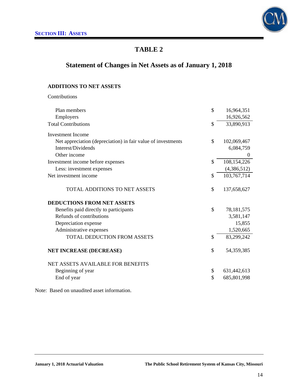

# **Statement of Changes in Net Assets as of January 1, 2018**

## **ADDITIONS TO NET ASSETS**

Contributions

| Plan members                                                 | \$            | 16,964,351   |
|--------------------------------------------------------------|---------------|--------------|
| Employers                                                    |               | 16,926,562   |
| <b>Total Contributions</b>                                   | $\mathcal{S}$ | 33,890,913   |
| <b>Investment Income</b>                                     |               |              |
| Net appreciation (depreciation) in fair value of investments | \$            | 102,069,467  |
| Interest/Dividends                                           |               | 6,084,759    |
| Other income                                                 |               | $\mathbf{0}$ |
| Investment income before expenses                            | $\mathcal{S}$ | 108,154,226  |
| Less: investment expenses                                    |               | (4,386,512)  |
| Net investment income                                        | \$            | 103,767,714  |
| TOTAL ADDITIONS TO NET ASSETS                                | \$            | 137,658,627  |
| <b>DEDUCTIONS FROM NET ASSETS</b>                            |               |              |
| Benefits paid directly to participants                       | \$            | 78, 181, 575 |
| Refunds of contributions                                     |               | 3,581,147    |
| Depreciation expense                                         |               | 15,855       |
| Administrative expenses                                      |               | 1,520,665    |
| <b>TOTAL DEDUCTION FROM ASSETS</b>                           | \$            | 83,299,242   |
| <b>NET INCREASE (DECREASE)</b>                               | \$            | 54, 359, 385 |
| <b>NET ASSETS AVAILABLE FOR BENEFITS</b>                     |               |              |
| Beginning of year                                            | \$            | 631,442,613  |
| End of year                                                  | \$            | 685,801,998  |
|                                                              |               |              |

Note: Based on unaudited asset information.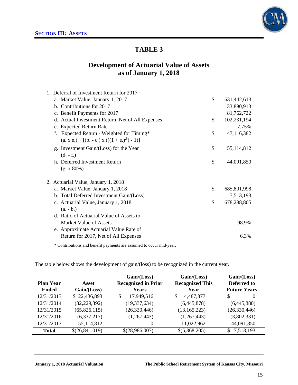

## **Development of Actuarial Value of Assets as of January 1, 2018**

| 1. Deferral of Investment Return for 2017        |                   |
|--------------------------------------------------|-------------------|
| a. Market Value, January 1, 2017                 | \$<br>631,442,613 |
| b. Contributions for 2017                        | 33,890,913        |
| c. Benefit Payments for 2017                     | 81,762,722        |
| d. Actual Investment Return, Net of All Expenses | \$<br>102,231,194 |
| e. Expected Return Rate                          | 7.75%             |
| Expected Return - Weighted for Timing*           | \$<br>47,116,382  |
| $(a. x e.) + [(b. - c.) x (((1 + e.)5) - 1)]$    |                   |
| g. Investment Gain/(Loss) for the Year           | \$<br>55,114,812  |
| $(d. - f.)$                                      |                   |
| h. Deferred Investment Return                    | \$<br>44,091,850  |
| (g. x 80%)                                       |                   |
| 2. Actuarial Value, January 1, 2018              |                   |
| a. Market Value, January 1, 2018                 | \$<br>685,801,998 |
| b. Total Deferred Investment Gain/(Loss)         | 7,513,193         |
| c. Actuarial Value, January 1, 2018              | \$<br>678,288,805 |
| $(a. - b.)$                                      |                   |
| d. Ratio of Actuarial Value of Assets to         |                   |
| Market Value of Assets                           | 98.9%             |
| e. Approximate Actuarial Value Rate of           |                   |
| Return for 2017, Net of All Expenses             | 6.3%              |
|                                                  |                   |

\* Contributions and benefit payments are assumed to occur mid-year.

The table below shows the development of gain/(loss) to be recognized in the current year.

|                  |                | Gain / (Loss)               | Gain/(Loss)            | Gain / (Loss)        |
|------------------|----------------|-----------------------------|------------------------|----------------------|
| <b>Plan Year</b> | Asset          | <b>Recognized in Prior</b>  | <b>Recognized This</b> | Deferred to          |
| <b>Ended</b>     | Gain / (Loss)  | Years                       | Year                   | <b>Future Years</b>  |
| 12/31/2013       | \$22,436,893   | 17,949,516<br><sup>\$</sup> | 4,487,377<br>\$        | <b>S</b><br>$\theta$ |
| 12/31/2014       | (32, 229, 392) | (19, 337, 634)              | (6,445,878)            | (6,445,880)          |
| 12/31/2015       | (65,826,115)   | (26, 330, 446)              | (13, 165, 223)         | (26, 330, 446)       |
| 12/31/2016       | (6,337,217)    | (1,267,443)                 | (1,267,443)            | (3,802,331)          |
| 12/31/2017       | 55,114,812     | $\overline{0}$              | 11,022,962             | 44,091,850           |
| <b>Total</b>     | \$(26,841,019) | \$(28,986,007)              | \$(5,368,205)          | 7,513,193            |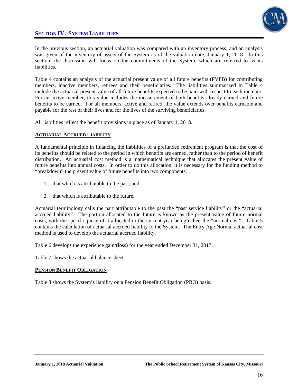## **SECTION IV: SYSTEM LIABILITIES**



In the previous section, an actuarial valuation was compared with an inventory process, and an analysis was given of the inventory of assets of the System as of the valuation date, January 1, 2018. In this section, the discussion will focus on the commitments of the System, which are referred to as its liabilities.

Table 4 contains an analysis of the actuarial present value of all future benefits (PVFB) for contributing members, inactive members, retirees and their beneficiaries. The liabilities summarized in Table 4 include the actuarial present value of all future benefits expected to be paid with respect to each member. For an active member, this value includes the measurement of both benefits already earned and future benefits to be earned. For all members, active and retired, the value extends over benefits earnable and payable for the rest of their lives and for the lives of the surviving beneficiaries.

All liabilities reflect the benefit provisions in place as of January 1, 2018.

### **ACTUARIAL ACCRUED LIABILITY**

A fundamental principle in financing the liabilities of a prefunded retirement program is that the cost of its benefits should be related to the period in which benefits are earned, rather than to the period of benefit distribution. An actuarial cost method is a mathematical technique that allocates the present value of future benefits into annual costs. In order to do this allocation, it is necessary for the funding method to "breakdown" the present value of future benefits into two components:

- 1. that which is attributable to the past, and
- 2. that which is attributable to the future.

Actuarial terminology calls the part attributable to the past the "past service liability" or the "actuarial accrued liability". The portion allocated to the future is known as the present value of future normal costs, with the specific piece of it allocated to the current year being called the "normal cost". Table 5 contains the calculation of actuarial accrued liability to the System. The Entry Age Normal actuarial cost method is used to develop the actuarial accrued liability.

Table 6 develops the experience gain/(loss) for the year ended December 31, 2017.

Table 7 shows the actuarial balance sheet.

### **PENSION BENEFIT OBLIGATION**

Table 8 shows the System's liability on a Pension Benefit Obligation (PBO) basis.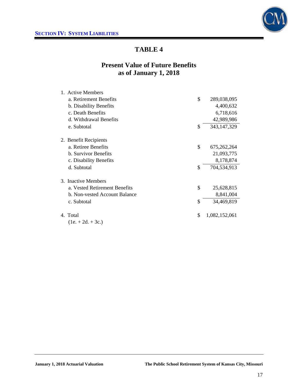

# **Present Value of Future Benefits as of January 1, 2018**

| 1. Active Members             |                     |
|-------------------------------|---------------------|
| a. Retirement Benefits        | \$<br>289,038,095   |
| b. Disability Benefits        | 4,400,632           |
| c. Death Benefits             | 6,718,616           |
| d. Withdrawal Benefits        | 42,989,986          |
| e. Subtotal                   | \$<br>343, 147, 329 |
| 2. Benefit Recipients         |                     |
| a. Retiree Benefits           | \$<br>675, 262, 264 |
| <b>b.</b> Survivor Benefits   | 21,093,775          |
| c. Disability Benefits        | 8,178,874           |
| d. Subtotal                   | \$<br>704,534,913   |
| 3. Inactive Members           |                     |
| a. Vested Retirement Benefits | \$<br>25,628,815    |
| b. Non-vested Account Balance | 8,841,004           |
| c. Subtotal                   | \$<br>34,469,819    |
| 4. Total                      | \$<br>1,082,152,061 |
| $(1e. + 2d. + 3c.)$           |                     |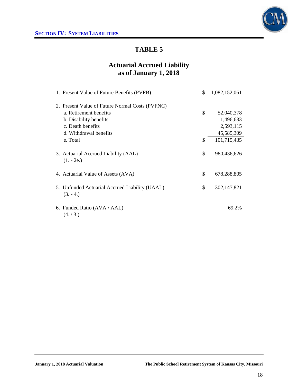

# **Actuarial Accrued Liability as of January 1, 2018**

| 1. Present Value of Future Benefits (PVFB)                  | \$<br>1,082,152,061 |
|-------------------------------------------------------------|---------------------|
| 2. Present Value of Future Normal Costs (PVFNC)             |                     |
| a. Retirement benefits                                      | \$<br>52,040,378    |
| b. Disability benefits                                      | 1,496,633           |
| c. Death benefits                                           | 2,593,115           |
| d. Withdrawal benefits                                      | 45,585,309          |
| e. Total                                                    | \$<br>101,715,435   |
| 3. Actuarial Accrued Liability (AAL)<br>$(1. - 2e.)$        | \$<br>980,436,626   |
| 4. Actuarial Value of Assets (AVA)                          | \$<br>678,288,805   |
| 5. Unfunded Actuarial Accrued Liability (UAAL)<br>$(3.-4.)$ | \$<br>302,147,821   |
| 6. Funded Ratio (AVA / AAL)<br>(4./3.)                      | 69.2%               |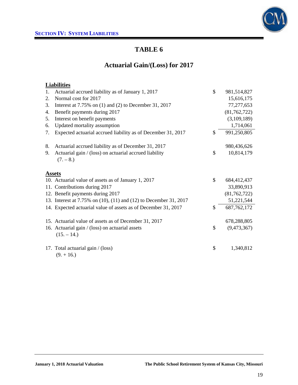

# **Actuarial Gain/(Loss) for 2017**

## **Liabilities**

| 1. | Actuarial accrued liability as of January 1, 2017                     | \$            | 981,514,827    |
|----|-----------------------------------------------------------------------|---------------|----------------|
| 2. | Normal cost for 2017                                                  |               | 15,616,175     |
| 3. | Interest at $7.75\%$ on (1) and (2) to December 31, 2017              |               | 77,277,653     |
| 4. | Benefit payments during 2017                                          |               | (81, 762, 722) |
| 5. | Interest on benefit payments                                          |               | (3,109,189)    |
| 6. | Updated mortality assumption                                          |               | 1,714,061      |
| 7. | Expected actuarial accrued liability as of December 31, 2017          | \$            | 991,250,805    |
| 8. | Actuarial accrued liability as of December 31, 2017                   |               | 980,436,626    |
| 9. | Actuarial gain / (loss) on actuarial accrued liability<br>$(7. - 8.)$ | \$            | 10,814,179     |
|    | <b>Assets</b>                                                         |               |                |
|    | 10. Actuarial value of assets as of January 1, 2017                   | $\mathcal{S}$ | 684,412,437    |
|    | 11. Contributions during 2017                                         |               | 33,890,913     |
|    | 12. Benefit payments during 2017                                      |               | (81, 762, 722) |
|    | 13. Interest at 7.75% on (10), (11) and (12) to December 31, 2017     |               | 51,221,544     |
|    | 14. Expected actuarial value of assets as of December 31, 2017        | $\mathcal{S}$ | 687, 762, 172  |
|    | 15. Actuarial value of assets as of December 31, 2017                 |               | 678,288,805    |
|    | 16. Actuarial gain / (loss) on actuarial assets<br>$(15. - 14.)$      | \$            | (9,473,367)    |
|    | 17. Total actuarial gain / (loss)<br>$(9. + 16.)$                     | \$            | 1,340,812      |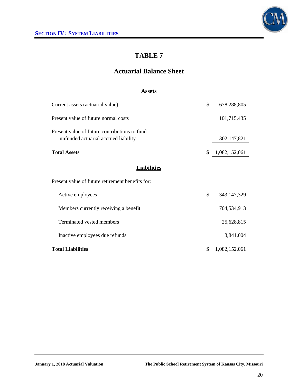

# **Actuarial Balance Sheet**

### **Assets**

| Current assets (actuarial value)                                                      | \$ | 678,288,805   |
|---------------------------------------------------------------------------------------|----|---------------|
| Present value of future normal costs                                                  |    | 101,715,435   |
| Present value of future contributions to fund<br>unfunded actuarial accrued liability |    | 302,147,821   |
| <b>Total Assets</b>                                                                   | \$ | 1,082,152,061 |
| <b>Liabilities</b>                                                                    |    |               |
| Present value of future retirement benefits for:                                      |    |               |
| Active employees                                                                      | \$ | 343, 147, 329 |
| Members currently receiving a benefit                                                 |    | 704,534,913   |
| Terminated vested members                                                             |    | 25,628,815    |
| Inactive employees due refunds                                                        |    | 8,841,004     |
| <b>Total Liabilities</b>                                                              | S  | 1,082,152,061 |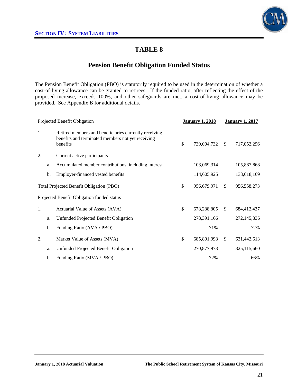

## **Pension Benefit Obligation Funded Status**

The Pension Benefit Obligation (PBO) is statutorily required to be used in the determination of whether a cost-of-living allowance can be granted to retirees. If the funded ratio, after reflecting the effect of the proposed increase, exceeds 100%, and other safeguards are met, a cost-of-living allowance may be provided. See Appendix B for additional details.

| Projected Benefit Obligation |    |                                                                                                                        | <b>January 1, 2018</b> | <b>January 1, 2017</b> |             |  |
|------------------------------|----|------------------------------------------------------------------------------------------------------------------------|------------------------|------------------------|-------------|--|
| 1.                           |    | Retired members and beneficiaries currently receiving<br>benefits and terminated members not yet receiving<br>benefits | \$<br>739,004,732      | S.                     | 717,052,296 |  |
| 2.                           |    | Current active participants                                                                                            |                        |                        |             |  |
|                              | a. | Accumulated member contributions, including interest                                                                   | 103,069,314            |                        | 105,887,868 |  |
|                              | b. | Employer-financed vested benefits                                                                                      | 114,605,925            |                        | 133,618,109 |  |
|                              |    | Total Projected Benefit Obligation (PBO)                                                                               | \$<br>956,679,971      | $\mathbb{S}$           | 956,558,273 |  |
|                              |    | Projected Benefit Obligation funded status                                                                             |                        |                        |             |  |
| 1.                           |    | Actuarial Value of Assets (AVA)                                                                                        | \$<br>678,288,805      | $\mathbb{S}$           | 684,412,437 |  |
|                              | a. | Unfunded Projected Benefit Obligation                                                                                  | 278,391,166            |                        | 272,145,836 |  |
|                              | b. | Funding Ratio (AVA / PBO)                                                                                              | 71%                    |                        | 72%         |  |
| 2.                           |    | Market Value of Assets (MVA)                                                                                           | \$<br>685,801,998      | \$                     | 631,442,613 |  |
|                              | a. | Unfunded Projected Benefit Obligation                                                                                  | 270,877,973            |                        | 325,115,660 |  |
|                              | b. | Funding Ratio (MVA / PBO)                                                                                              | 72%                    |                        | 66%         |  |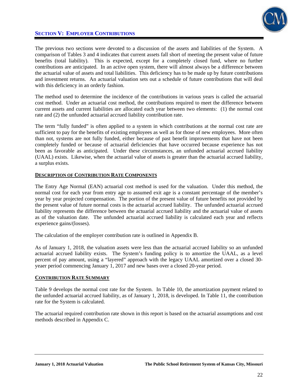

## **SECTION V: EMPLOYER CONTRIBUTIONS**

The previous two sections were devoted to a discussion of the assets and liabilities of the System. A comparison of Tables 3 and 4 indicates that current assets fall short of meeting the present value of future benefits (total liability). This is expected, except for a completely closed fund, where no further contributions are anticipated. In an active open system, there will almost always be a difference between the actuarial value of assets and total liabilities. This deficiency has to be made up by future contributions and investment returns. An actuarial valuation sets out a schedule of future contributions that will deal with this deficiency in an orderly fashion.

The method used to determine the incidence of the contributions in various years is called the actuarial cost method. Under an actuarial cost method, the contributions required to meet the difference between current assets and current liabilities are allocated each year between two elements: (1) the normal cost rate and (2) the unfunded actuarial accrued liability contribution rate.

The term "fully funded" is often applied to a system in which contributions at the normal cost rate are sufficient to pay for the benefits of existing employees as well as for those of new employees. More often than not, systems are not fully funded, either because of past benefit improvements that have not been completely funded or because of actuarial deficiencies that have occurred because experience has not been as favorable as anticipated. Under these circumstances, an unfunded actuarial accrued liability (UAAL) exists. Likewise, when the actuarial value of assets is greater than the actuarial accrued liability, a surplus exists.

### **DESCRIPTION OF CONTRIBUTION RATE COMPONENTS**

The Entry Age Normal (EAN) actuarial cost method is used for the valuation. Under this method, the normal cost for each year from entry age to assumed exit age is a constant percentage of the member's year by year projected compensation. The portion of the present value of future benefits not provided by the present value of future normal costs is the actuarial accrued liability. The unfunded actuarial accrued liability represents the difference between the actuarial accrued liability and the actuarial value of assets as of the valuation date. The unfunded actuarial accrued liability is calculated each year and reflects experience gains/(losses).

The calculation of the employer contribution rate is outlined in Appendix B.

As of January 1, 2018, the valuation assets were less than the actuarial accrued liability so an unfunded actuarial accrued liability exists. The System's funding policy is to amortize the UAAL, as a level percent of pay amount, using a "layered" approach with the legacy UAAL amortized over a closed 30 yeaer period commencing January 1, 2017 and new bases over a closed 20-year period.

#### **CONTRIBUTION RATE SUMMARY**

Table 9 develops the normal cost rate for the System. In Table 10, the amortization payment related to the unfunded actuarial accrued liability, as of January 1, 2018, is developed. In Table 11, the contribution rate for the System is calculated.

The actuarial required contribution rate shown in this report is based on the actuarial assumptions and cost methods described in Appendix C.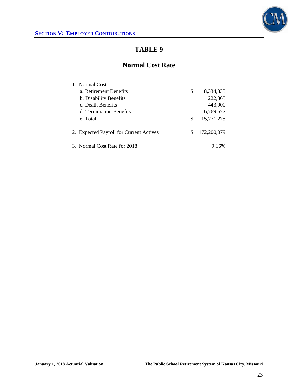

## **Normal Cost Rate**

| 1. Normal Cost                          |    |             |
|-----------------------------------------|----|-------------|
| a. Retirement Benefits                  | \$ | 8,334,833   |
| b. Disability Benefits                  |    | 222,865     |
| c. Death Benefits                       |    | 443,900     |
| d. Termination Benefits                 |    | 6,769,677   |
| e. Total                                | S  | 15,771,275  |
|                                         |    |             |
| 2. Expected Payroll for Current Actives | S  | 172,200,079 |
|                                         |    |             |
| 3. Normal Cost Rate for 2018            |    | 9.16%       |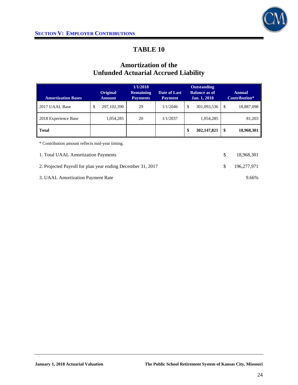

# **Amortization of the Unfunded Actuarial Accrued Liability**

|                                                               |    |                                     | 1/1/2018                       |                                      |    | <b>Outstanding</b>      |    |            |  |
|---------------------------------------------------------------|----|-------------------------------------|--------------------------------|--------------------------------------|----|-------------------------|----|------------|--|
| <b>Original</b><br><b>Amortization Bases</b><br><b>Amount</b> |    | <b>Remaining</b><br><b>Payments</b> | Date of Last<br><b>Payment</b> | <b>Balance as of</b><br>Jan. 1, 2018 |    | Annual<br>Contribution* |    |            |  |
| 2017 UAAL Base                                                | \$ | 297, 102, 390                       | 29                             | 1/1/2046                             | \$ | 301,093,536             | \$ | 18,887,098 |  |
| 2018 Experience Base                                          |    | 1,054,285                           | 20                             | 1/1/2037                             |    | 1,054,285               |    | 81,203     |  |
| <b>Total</b>                                                  |    |                                     |                                |                                      | \$ | 302, 147, 821           | \$ | 18,968,301 |  |
| * Contribution amount reflects mid-year timing.               |    |                                     |                                |                                      |    |                         |    |            |  |

1. Total UAAL Amortization Payments  $$ 18,968,301$ 2. Projected Payroll for plan year ending December 31, 2017 \$ 196,277,971 3. UAAL Amortization Payment Rate 9.66%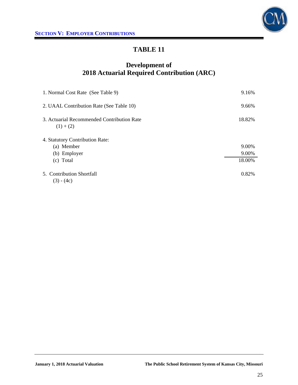



# **Development of 2018 Actuarial Required Contribution (ARC)**

| 1. Normal Cost Rate (See Table 9)                         | 9.16%  |
|-----------------------------------------------------------|--------|
| 2. UAAL Contribution Rate (See Table 10)                  | 9.66%  |
| 3. Actuarial Recommended Contribution Rate<br>$(1) + (2)$ | 18.82% |
| 4. Statutory Contribution Rate:                           |        |
| (a) Member                                                | 9.00%  |
| (b) Employer                                              | 9.00%  |
| (c) Total                                                 | 18.00% |
| 5. Contribution Shortfall<br>$(3) - (4c)$                 | 0.82%  |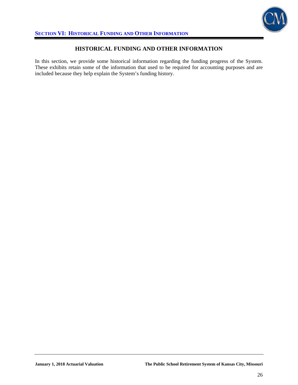

### **HISTORICAL FUNDING AND OTHER INFORMATION**

In this section, we provide some historical information regarding the funding progress of the System. These exhibits retain some of the information that used to be required for accounting purposes and are included because they help explain the System's funding history.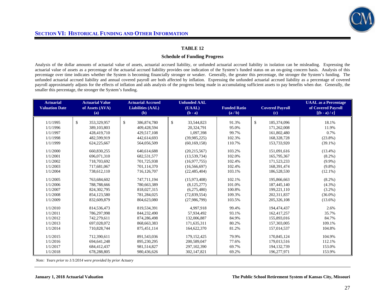

#### **Schedule of Funding Progress**

Analysis of the dollar amounts of actuarial value of assets, actuarial accrued liability, or unfunded actuarial accrued liability in isolation can be misleading. Expressing the actuarial value of assets as a percentage of the actuarial accrued liability provides one indication of the System's funded status on an on-going concern basis. Analysis of this percentage over time indicates whether the System is becoming financially stronger or weaker. Generally, the greater this percentage, the stronger the System's funding. The unfunded actuarial accrued liability and annual covered payroll are both affected by inflation. Expressing the unfunded actuarial accrued liability as a percentage of covered payroll approximately adjusts for the effects of inflation and aids analysis of the progress being made in accumulating sufficient assets to pay benefits when due. Generally, the smaller this percentage, the stronger the System's funding.

| <b>Actuarial</b><br><b>Valuation Date</b> | <b>Actuarial Value</b><br>of Assets (AVA)<br>(a) | <b>Actuarial Accrued</b><br><b>Liabilities (AAL)</b><br>(b) | <b>Unfunded AAL</b><br>(UAAL)<br>$(b - a)$ | <b>Funded Ratio</b><br>(a/b) |              | <b>Covered Payroll</b><br>$\left( \mathbf{c} \right)$ | <b>UAAL</b> as a Percentage<br>of Covered Payroll<br>$[(b - a)/c]$ |
|-------------------------------------------|--------------------------------------------------|-------------------------------------------------------------|--------------------------------------------|------------------------------|--------------|-------------------------------------------------------|--------------------------------------------------------------------|
|                                           |                                                  |                                                             |                                            |                              |              |                                                       |                                                                    |
| 1/1/1995                                  | \$<br>353,329,957                                | \$<br>386, 874, 780                                         | \$<br>33,544,823                           | 91.3%                        | $\mathbb{S}$ | 185,374,096                                           | 18.1%                                                              |
| 1/1/1996                                  | 389,103,803                                      | 409,428,594                                                 | 20,324,791                                 | 95.0%                        |              | 171,262,008                                           | 11.9%                                                              |
| 1/1/1997                                  | 428,419,710                                      | 429,517,108                                                 | 1,097,398                                  | 99.7%                        |              | 161,802,480                                           | 0.7%                                                               |
| 1/1/1998                                  | 482,599,919                                      | 442,614,693                                                 | (39,985,225)                               | 102.3%                       |              | 168,328,728                                           | $(23.8\%)$                                                         |
| 1/1/1999                                  | 624,225,667                                      | 564,056,509                                                 | (60, 169, 158)                             | 110.7%                       |              | 153,733,920                                           | $(39.1\%)$                                                         |
| 1/1/2000                                  | 660,830,255                                      | 640,614,688                                                 | (20, 215, 567)                             | 103.2%                       |              | 151,091,616                                           | $(13.4\%)$                                                         |
| 1/1/2001                                  | 696,071,310                                      | 682,531,577                                                 | (13, 539, 734)                             | 102.0%                       |              | 165,795,367                                           | $(8.2\%)$                                                          |
| 1/1/2002                                  | 718,703,692                                      | 701.725.938                                                 | (16.977.755)                               | 102.4%                       |              | 171.523.233                                           | $(9.9\%)$                                                          |
| 1/1/2003                                  | 717,681,067                                      | 701,114,370                                                 | (16, 566, 697)                             | 102.4%                       |              | 168,391,474                                           | $(9.8\%)$                                                          |
| 1/1/2004                                  | 738,612,110                                      | 716,126,707                                                 | (22, 485, 404)                             | 103.1%                       |              | 186,528,530                                           | $(12.1\%)$                                                         |
| 1/1/2005                                  | 763,684,602                                      | 747,711,194                                                 | (15,973,408)                               | 102.1%                       |              | 195,866,663                                           | $(8.2\%)$                                                          |
| 1/1/2006                                  | 788,788,666                                      | 780,663,389                                                 | (8, 125, 277)                              | 101.0%                       |              | 187,445,140                                           | $(4.3\%)$                                                          |
| 1/1/2007                                  | 824, 302, 795                                    | 818,027,315                                                 | (6,275,480)                                | 100.8%                       |              | 199,221,110                                           | $(3.2\%)$                                                          |
| 1/1/2008                                  | 854,123,580                                      | 781.284.025                                                 | (72,839,554)                               | 109.3%                       |              | 202.311.837                                           | $(36.0\%)$                                                         |
| 1/1/2009                                  | 832,609,879                                      | 804,623,080                                                 | (27,986,799)                               | 103.5%                       |              | 205,326,108                                           | $(13.6\%)$                                                         |
| 1/1/2010                                  | 814,536,473                                      | 819,534,391                                                 | 4.997.918                                  | 99.4%                        |              | 194,474,437                                           | 2.6%                                                               |
| 1/1/2011                                  | 786,297,998                                      | 844,232,490                                                 | 57.934.492                                 | 93.1%                        |              | 162,417,257                                           | 35.7%                                                              |
| 1/1/2012                                  | 742,279,611                                      | 874,286,498                                                 | 132,006,887                                | 84.9%                        |              | 155,893,016                                           | 84.7%                                                              |
| 1/1/2013                                  | 697,028,072                                      | 868,663,383                                                 | 171,635,311                                | 80.2%                        |              | 157,303,005                                           | 109.1%                                                             |
| 1/1/2014                                  | 710,828,744                                      | 875,451,114                                                 | 164,622,370                                | 81.2%                        |              | 157,014,537                                           | 104.8%                                                             |
| 1/1/2015                                  | 712,390,611                                      | 891,543,036                                                 | 179, 152, 425                              | 79.9%                        |              | 170,845,124                                           | 104.9%                                                             |
| 1/1/2016                                  | 694, 641, 248                                    | 895,230,295                                                 | 200,589,047                                | 77.6%                        |              | 179,013,516                                           | 112.1%                                                             |
| 1/1/2017                                  | 684,412,437                                      | 981,514,827                                                 | 297, 102, 390                              | 69.7%                        |              | 194, 132, 739                                         | 153.0%                                                             |
| 1/1/2018                                  | 678,288,805                                      | 980.436.626                                                 | 302.147.821                                | 69.2%                        |              | 196,277,971                                           | 153.9%                                                             |

 *Note: Years prior to 1/1/2014 were provided by prior Actuary*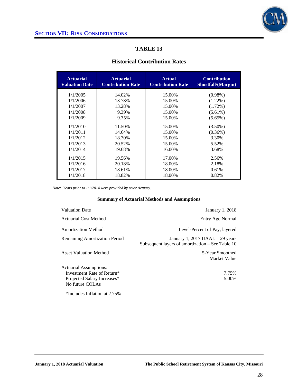

### **Historical Contribution Rates**

| <b>Actuarial</b><br><b>Valuation Date</b> | <b>Actuarial</b><br><b>Contribution Rate</b> | <b>Actual</b><br><b>Contribution Rate</b> | <b>Contribution</b><br>Shortfall/(Margin) |
|-------------------------------------------|----------------------------------------------|-------------------------------------------|-------------------------------------------|
| 1/1/2005                                  | 14.02%                                       | 15.00%                                    | $(0.98\%)$                                |
| 1/1/2006                                  | 13.78%                                       | 15.00%                                    | $(1.22\%)$                                |
|                                           |                                              |                                           |                                           |
| 1/1/2007                                  | 13.28%                                       | 15.00%                                    | $(1.72\%)$                                |
| 1/1/2008                                  | 9.39%                                        | 15.00%                                    | $(5.61\%)$                                |
| 1/1/2009                                  | 9.35%                                        | 15.00%                                    | $(5.65\%)$                                |
| 1/1/2010                                  | 11.50%                                       | 15.00%                                    | $(3.50\%)$                                |
| 1/1/2011                                  | 14.64%                                       | 15.00%                                    | (0.36%)                                   |
| 1/1/2012                                  | 18.30%                                       | 15.00%                                    | 3.30%                                     |
| 1/1/2013                                  | 20.52%                                       | 15.00%                                    | 5.52%                                     |
| 1/1/2014                                  | 19.68%                                       | 16.00%                                    | 3.68%                                     |
| 1/1/2015                                  | 19.56%                                       | 17.00%                                    | 2.56%                                     |
| 1/1/2016                                  | 20.18%                                       | 18.00%                                    | 2.18%                                     |
| 1/1/2017                                  | 18.61%                                       | 18.00%                                    | 0.61%                                     |
| 1/1/2018                                  | 18.82%                                       | 18.00%                                    | 0.82%                                     |

*Note: Years prior to 1/1/2014 were provided by prior Actuary.* 

#### **Summary of Actuarial Methods and Assumptions**

| <b>Valuation Date</b>                          | January 1, 2018                                                                       |
|------------------------------------------------|---------------------------------------------------------------------------------------|
| <b>Actuarial Cost Method</b>                   | Entry Age Normal                                                                      |
| <b>Amortization Method</b>                     | Level-Percent of Pay, layered                                                         |
| <b>Remaining Amortization Period</b>           | January 1, 2017 UAAL $-$ 29 years<br>Subsequent layers of amortization – See Table 10 |
| <b>Asset Valuation Method</b>                  | 5-Year Smoothed<br>Market Value                                                       |
| Actuarial Assumptions:                         |                                                                                       |
| Investment Rate of Return*                     | 7.75%                                                                                 |
| Projected Salary Increases*<br>No future COLAs | 5.00%                                                                                 |

\*Includes Inflation at 2.75%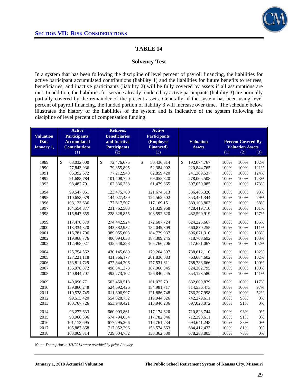

### **Solvency Test**

In a system that has been following the discipline of level percent of payroll financing, the liabilities for active participant accumulated contributions (liability 1) and the liabilities for future benefits to retirees, beneficiaries, and inactive participants (liability 2) will be fully covered by assets if all assumptions are met. In addition, the liabilities for service already rendered by active participants (liability 3) are normally partially covered by the remainder of the present assets. Generally, if the system has been using level percent of payroll financing, the funded portion of liability 3 will increase over time. The schedule below illustrates the history of the liabilities of the system and is indicative of the system following the discipline of level percent of compensation funding.

| <b>Valuation</b><br><b>Date</b><br>January 1, | <b>Active</b><br><b>Participants'</b><br><b>Accumulated</b><br><b>Contributions</b><br>(1) | Retirees,<br><b>Beneficiaries</b><br>and Inactive<br><b>Participants</b><br>(2) | <b>Active</b><br><b>Participants</b><br>(Employer<br><b>Financed</b> )<br>(3) | <b>Valuation</b><br><b>Assets</b> |      | <b>Percent Covered By</b><br><b>Valuation Assets</b><br>(2)<br>(1)<br>(3) |      |  |  |
|-----------------------------------------------|--------------------------------------------------------------------------------------------|---------------------------------------------------------------------------------|-------------------------------------------------------------------------------|-----------------------------------|------|---------------------------------------------------------------------------|------|--|--|
|                                               |                                                                                            |                                                                                 |                                                                               |                                   |      |                                                                           |      |  |  |
| 1989                                          | \$<br>68,032,000                                                                           | \$<br>72,476,675                                                                | \$<br>50,436,314                                                              | \$<br>192,074,767                 | 100% | 100%                                                                      | 102% |  |  |
| 1990                                          | 77,843,936                                                                                 | 79,855,895                                                                      | 52,384,902                                                                    | 220, 844, 765                     | 100% | 100%                                                                      | 121% |  |  |
| 1991                                          | 86,392,672                                                                                 | 77,212,948                                                                      | 62,859,420                                                                    | 241,369,537                       | 100% | 100%                                                                      | 124% |  |  |
| 1992                                          | 91,688,784                                                                                 | 101,408,720                                                                     | 69,055,820                                                                    | 278,065,508                       | 100% | 100%                                                                      | 123% |  |  |
| 1993                                          | 98,482,791                                                                                 | 102,336,338                                                                     | 61,479,865                                                                    | 307,050,085                       | 100% | 100%                                                                      | 173% |  |  |
| 1994                                          | 99,547,061                                                                                 | 123,475,760                                                                     | 121,674,513                                                                   | 336,466,320                       | 100% | 100%                                                                      | 93%  |  |  |
| 1995                                          | 110,658,079                                                                                | 144,027,489                                                                     | 124,562,502                                                                   | 353,451,344                       | 100% | 100%                                                                      | 79%  |  |  |
| 1996                                          | 108,123,636                                                                                | 177,617,507                                                                     | 117,169,151                                                                   | 389,103,803                       | 100% | 100%                                                                      | 88%  |  |  |
| 1997                                          | 104,554,877                                                                                | 231,762,583                                                                     | 91,329,968                                                                    | 428,419,710                       | 100% | 100%                                                                      | 101% |  |  |
| 1998                                          | 115,847,655                                                                                | 228,328,855                                                                     | 108,592,620                                                                   | 482,599,919                       | 100% | 100%                                                                      | 127% |  |  |
| 1999                                          | 117,478,379                                                                                | 274,442,924                                                                     | 172,607,724                                                                   | 624.225.667                       | 100% | 100%                                                                      | 135% |  |  |
| 2000                                          | 113,334,820                                                                                | 343,382,932                                                                     | 184,049,309                                                                   | 660,830,255                       | 100% | 100%                                                                      | 111% |  |  |
| 2001                                          | 115,781,706                                                                                | 389,055,603                                                                     | 184,779,937                                                                   | 696,071,310                       | 100% | 100%                                                                      | 103% |  |  |
| 2002                                          | 119,968,776                                                                                | 406,094,033                                                                     | 187,309,245                                                                   | 718,703,692                       | 100% | 100%                                                                      | 103% |  |  |
| 2003                                          | 112,468,027                                                                                | 435,548,298                                                                     | 165,766,206                                                                   | 717,681,067                       | 100% | 100%                                                                      | 102% |  |  |
| 2004                                          | 125,754,562                                                                                | 430,145,689                                                                     | 179,264,397                                                                   | 738,612,110                       | 100% | 100%                                                                      | 102% |  |  |
| 2005                                          | 127, 221, 118                                                                              | 431,366,177                                                                     | 201,836,083                                                                   | 763,684,602                       | 100% | 100%                                                                      | 102% |  |  |
| 2006                                          | 133.811.729                                                                                | 477,844,206                                                                     | 177,531,611                                                                   | 788,788,666                       | 100% | 100%                                                                      | 100% |  |  |
| 2007                                          | 136,978,872                                                                                | 498, 841, 373                                                                   | 187,966,845                                                                   | 824, 302, 795                     | 100% | 100%                                                                      | 100% |  |  |
| 2008                                          | 140,844,707                                                                                | 492,273,102                                                                     | 156,840,245                                                                   | 854,123,580                       | 100% | 100%                                                                      | 141% |  |  |
| 2009                                          | 140,096,771                                                                                | 503.450.518                                                                     | 161.075.791                                                                   | 832,609,879                       | 100% | 100%                                                                      | 117% |  |  |
| 2010                                          | 139,860,248                                                                                | 524,692,426                                                                     | 154,981,717                                                                   | 814,536,473                       | 100% | 100%                                                                      | 97%  |  |  |
| 2011                                          | 110,538,745                                                                                | 611,806,997                                                                     | 121,886,748                                                                   | 786,297,998                       | 100% | 100%                                                                      | 52%  |  |  |
| 2012                                          | 99,513,420                                                                                 | 654,828,752                                                                     | 119,944,326                                                                   | 742,279,611                       | 100% | 98%                                                                       | 0%   |  |  |
| 2013                                          | 100,767,726                                                                                | 653,949,421                                                                     | 113,946,236                                                                   | 697,028,072                       | 100% | 91%                                                                       | 0%   |  |  |
| 2014                                          | 98,272,633                                                                                 | 660,003,861                                                                     | 117,174,620                                                                   | 710,828,744                       | 100% | 93%                                                                       | 0%   |  |  |
| 2015                                          | 98,966,336                                                                                 | 674,794,654                                                                     | 117,782,046                                                                   | 712,390,611                       | 100% | 91%                                                                       | 0%   |  |  |
| 2016                                          | 101,173,695                                                                                | 677,295,366                                                                     | 116,761,234                                                                   | 694,641,248                       | 100% | 88%                                                                       | 0%   |  |  |
| 2017                                          | 105,887,868                                                                                | 717,052,296                                                                     | 158,574,663                                                                   | 684,412,437                       | 100% | 81%                                                                       | 0%   |  |  |
| 2018                                          | 103,069,314                                                                                | 739,004,732                                                                     | 138,362,580                                                                   | 678,288,805                       | 100% | 78%                                                                       | 0%   |  |  |

*Note: Years prior to 1/1/2014 were provided by prior Actuary*.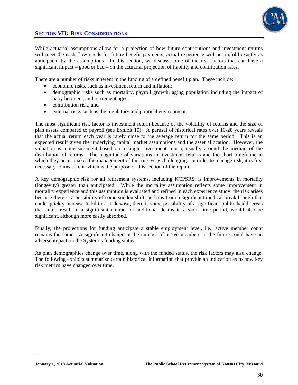

While actuarial assumptions allow for a projection of how future contributions and investment returns will meet the cash flow needs for future benefit payments, actual experience will not unfold exactly as anticipated by the assumptions. In this section, we discuss some of the risk factors that can have a significant impact – good or bad – on the actuarial projection of liability and contribution rates.

There are a number of risks inherent in the funding of a defined benefit plan. These include:

- economic risks, such as investment return and inflation;
- demographic risks such as mortality, payroll growth, aging population including the impact of baby boomers, and retirement ages;
- contribution risk; and
- external risks such as the regulatory and political environment.

The most significant risk factor is investment return because of the volatility of returns and the size of plan assets compared to payroll (see Exhibit 15). A perusal of historical rates over 10-20 years reveals that the actual return each year is rarely close to the average return for the same period. This is an expected result given the underlying capital market assumptions and the asset allocation. However, the valuation is a measurement based on a single investment return, usually around the median of the distribution of returns. The magnitude of variations in investment returns and the short timeframe in which they occur makes the management of this risk very challenging. In order to manage risk, it is first necessary to measure it which is the purpose of this section of the report.

A key demographic risk for all retirement systems, including KCPSRS, is improvements in mortality (longevity) greater than anticipated. While the mortality assumption reflects some improvement in mortality experience and this assumption is evaluated and refined in each experience study, the risk arises because there is a possibility of some sudden shift, perhaps from a significant medical breakthrough that could quickly increase liabilities. Likewise, there is some possibility of a significant public health crisis that could result in a significant number of additional deaths in a short time period, would also be significant, although more easily absorbed.

Finally, the projections for funding anticipate a stable employment level, i.e., active member count remains the same. A significant change in the number of active members in the future could have an adverse impact on the System's funding status.

As plan demographics change over time, along with the funded status, the risk factors may also change. The following exhibits summarize certain historical information that provide an indication as to how key risk metrics have changed over time.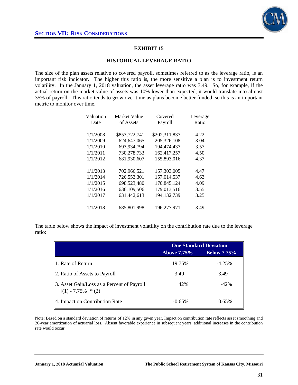

### **EXHIBIT 15**

#### **HISTORICAL LEVERAGE RATIO**

The size of the plan assets relative to covered payroll, sometimes referred to as the leverage ratio, is an important risk indicator. The higher this ratio is, the more sensitive a plan is to investment return volatility. In the January 1, 2018 valuation, the asset leverage ratio was 3.49. So, for example, if the actual return on the market value of assets was 10% lower than expected, it would translate into almost 35% of payroll. This ratio tends to grow over time as plans become better funded, so this is an important metric to monitor over time.

| Valuation | Market Value  | Covered       | Leverage |
|-----------|---------------|---------------|----------|
| Date      | of Assets     | Payroll       | Ratio    |
|           |               |               |          |
| 1/1/2008  | \$853,722,741 | \$202,311,837 | 4.22     |
| 1/1/2009  | 624, 647, 065 | 205.326.108   | 3.04     |
| 1/1/2010  | 693,934,794   | 194,474,437   | 3.57     |
| 1/1/2011  | 730,278,733   | 162,417,257   | 4.50     |
| 1/1/2012  | 681.930.607   | 155,893,016   | 4.37     |
|           |               |               |          |
| 1/1/2013  | 702,966,521   | 157,303,005   | 4.47     |
| 1/1/2014  | 726,553,301   | 157,014,537   | 4.63     |
| 1/1/2015  | 698,523,480   | 170,845,124   | 4.09     |
| 1/1/2016  | 636.109.506   | 179.013.516   | 3.55     |
| 1/1/2017  | 631.442.613   | 194.132.739   | 3.25     |
|           |               |               |          |
| 1/1/2018  | 685,801,998   | 196.277.971   | 3.49     |

The table below shows the impact of investment volatility on the contribution rate due to the leverage ratio:

|                                                                      | <b>One Standard Deviation</b> |                    |
|----------------------------------------------------------------------|-------------------------------|--------------------|
|                                                                      | <b>Above 7.75%</b>            | <b>Below 7.75%</b> |
| 1. Rate of Return                                                    | 19.75%                        | $-4.25%$           |
| 2. Ratio of Assets to Payroll                                        | 3.49                          | 3.49               |
| 3. Asset Gain/Loss as a Percent of Payroll<br>$[(1) - 7.75\%] * (2)$ | 42%                           | $-42%$             |
| 4. Impact on Contribution Rate                                       | $-0.65\%$                     | 0.65%              |

Note: Based on a standard deviation of returns of 12% in any given year. Impact on contribution rate reflects asset smoothing and 20-year amortization of actuarial loss. Absent favorable experience in subsequent years, additional increases in the contribution rate would occur.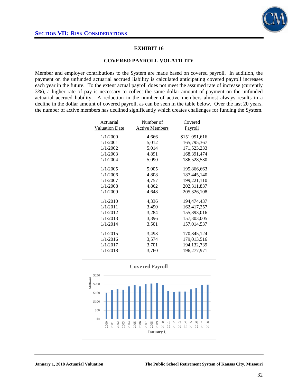

### **EXHIBIT 16**

#### **COVERED PAYROLL VOLATILITY**

Member and employer contributions to the System are made based on covered payroll. In addition, the payment on the unfunded actuarial accrued liability is calculated anticipating covered payroll increases each year in the future. To the extent actual payroll does not meet the assumed rate of increase (currently 3%), a higher rate of pay is necessary to collect the same dollar amount of payment on the unfunded actuarial accrued liability. A reduction in the number of active members almost always results in a decline in the dollar amount of covered payroll, as can be seen in the table below. Over the last 20 years, the number of active members has declined significantly which creates challenges for funding the System.

| Actuarial             | Number of             | Covered       |
|-----------------------|-----------------------|---------------|
| <b>Valuation Date</b> | <b>Active Members</b> | Payroll       |
| 1/1/2000              | 4,666                 | \$151,091,616 |
| 1/1/2001              | 5,012                 | 165,795,367   |
| 1/1/2002              | 5,014                 | 171,523,233   |
| 1/1/2003              | 4,891                 | 168,391,474   |
| 1/1/2004              | 5,090                 | 186,528,530   |
| 1/1/2005              | 5,005                 | 195,866,663   |
| 1/1/2006              | 4,808                 | 187,445,140   |
| 1/1/2007              | 4,757                 | 199,221,110   |
| 1/1/2008              | 4,862                 | 202,311,837   |
| 1/1/2009              | 4,648                 | 205,326,108   |
| 1/1/2010              | 4,336                 | 194,474,437   |
| 1/1/2011              | 3,490                 | 162,417,257   |
| 1/1/2012              | 3,284                 | 155,893,016   |
| 1/1/2013              | 3,396                 | 157,303,005   |
| 1/1/2014              | 3,501                 | 157,014,537   |
| 1/1/2015              | 3,493                 | 170,845,124   |
| 1/1/2016              | 3,574                 | 179,013,516   |
| 1/1/2017              | 3,701                 | 194, 132, 739 |
| 1/1/2018              | 3,760                 | 196,277,971   |
|                       |                       |               |

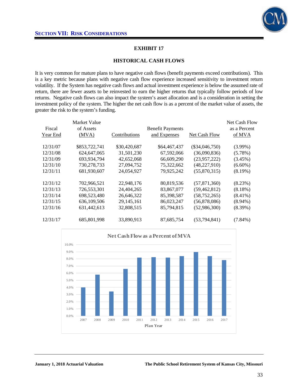

### **EXHIBIT 17**

#### **HISTORICAL CASH FLOWS**

It is very common for mature plans to have negative cash flows (benefit payments exceed contributions). This is a key metric because plans with negative cash flow experience increased sensitivity to investment return volatility. If the System has negative cash flows and actual investment experience is below the assumed rate of return, there are fewer assets to be reinvested to earn the higher returns that typically follow periods of low returns. Negative cash flows can also impact the system's asset allocation and is a consideration in setting the investment policy of the system. The higher the net cash flow is as a percent of the market value of assets, the greater the risk to the system's funding.

| Fiscal<br>Year End | Market Value<br>of Assets<br>(MVA) | Contributions | <b>Benefit Payments</b><br>and Expenses | Net Cash Flow    | Net Cash Flow<br>as a Percent<br>of MVA |
|--------------------|------------------------------------|---------------|-----------------------------------------|------------------|-----------------------------------------|
| 12/31/07           | \$853,722,741                      | \$30,420,687  | \$64,467,437                            | $(\$34,046,750)$ | $(3.99\%)$                              |
| 12/31/08           | 624, 647, 065                      | 31,501,230    | 67,592,066                              | (36,090,836)     | $(5.78\%)$                              |
| 12/31/09           | 693,934,794                        | 42,652,068    | 66,609,290                              | (23,957,222)     | $(3.45\%)$                              |
| 12/31/10           | 730,278,733                        | 27,094,752    | 75,322,662                              | (48, 227, 910)   | $(6.60\%)$                              |
| 12/31/11           | 681.930.607                        | 24.054.927    | 79,925,242                              | (55,870,315)     | $(8.19\%)$                              |
| 12/31/12           | 702,966,521                        | 22,948,176    | 80,819,536                              | (57, 871, 360)   | (8.23%)                                 |
| 12/31/13           | 726,553,301                        | 24,404,265    | 83,867,077                              | (59, 462, 812)   | $(8.18\%)$                              |
| 12/31/14           | 698,523,480                        | 26,646,322    | 85,398,587                              | (58, 752, 265)   | $(8.41\%)$                              |
| 12/31/15           | 636,109,506                        | 29, 145, 161  | 86,023,247                              | (56,878,086)     | $(8.94\%)$                              |
| 12/31/16           | 631,442,613                        | 32,808,515    | 85,794,815                              | (52,986,300)     | $(8.39\%)$                              |
| 12/31/17           | 685,801,998                        | 33,890,913    | 87,685,754                              | (53, 794, 841)   | $(7.84\%)$                              |

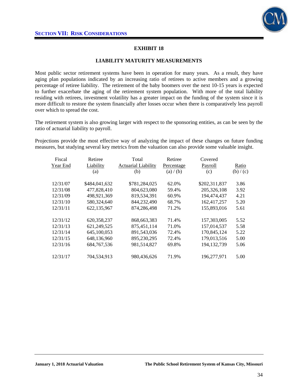

## **EXHIBIT 18**

#### **LIABILITY MATURITY MEASUREMENTS**

Most public sector retirement systems have been in operation for many years. As a result, they have aging plan populations indicated by an increasing ratio of retirees to active members and a growing percentage of retiree liability. The retirement of the baby boomers over the next 10-15 years is expected to further exacerbate the aging of the retirement system population. With more of the total liability residing with retirees, investment volatility has a greater impact on the funding of the system since it is more difficult to restore the system financially after losses occur when there is comparatively less payroll over which to spread the cost.

The retirement system is also growing larger with respect to the sponsoring entities, as can be seen by the ratio of actuarial liability to payroll.

Projections provide the most effective way of analyzing the impact of these changes on future funding measures, but studying several key metrics from the valuation can also provide some valuable insight.

| Fiscal<br>Year End | Retiree<br>Liability<br>(a) | Total<br><b>Actuarial Liability</b><br>(b) | Retiree<br>Percentage<br>(a) / (b) | Covered<br>Payroll<br>(c) | Ratio<br>(b) / (c) |
|--------------------|-----------------------------|--------------------------------------------|------------------------------------|---------------------------|--------------------|
| 12/31/07           | \$484,041,632               | \$781,284,025                              | 62.0%                              | \$202,311,837             | 3.86               |
| 12/31/08           | 477,828,410                 | 804,623,080                                | 59.4%                              | 205,326,108               | 3.92               |
| 12/31/09           | 498,921,369                 | 819,534,391                                | 60.9%                              | 194,474,437               | 4.21               |
| 12/31/10           | 580,324,640                 | 844,232,490                                | 68.7%                              | 162,417,257               | 5.20               |
| 12/31/11           | 622,135,967                 | 874,286,498                                | 71.2%                              | 155,893,016               | 5.61               |
| 12/31/12           | 620,358,237                 | 868, 663, 383                              | 71.4%                              | 157,303,005               | 5.52               |
| 12/31/13           | 621.249.525                 | 875,451,114                                | 71.0%                              | 157,014,537               | 5.58               |
| 12/31/14           | 645,100,053                 | 891,543,036                                | 72.4%                              | 170,845,124               | 5.22               |
| 12/31/15           | 648,136,960                 | 895,230,295                                | 72.4%                              | 179,013,516               | 5.00               |
| 12/31/16           | 684, 767, 536               | 981,514,827                                | 69.8%                              | 194, 132, 739             | 5.06               |
| 12/31/17           | 704,534,913                 | 980.436.626                                | 71.9%                              | 196,277,971               | 5.00               |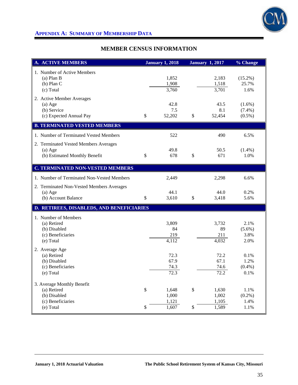

# **APPENDIX A: SUMMARY OF MEMBERSHIP DATA**

# **MEMBER CENSUS INFORMATION**

| <b>A. ACTIVE MEMBERS</b>                                                                    |          | <b>January 1, 2018</b>           |              | <b>January 1, 2017</b>           | % Change                            |
|---------------------------------------------------------------------------------------------|----------|----------------------------------|--------------|----------------------------------|-------------------------------------|
| 1. Number of Active Members<br>$(a)$ Plan B<br>$(b)$ Plan C<br>(c) Total                    |          | 1,852<br>1,908<br>3,760          |              | 2,183<br>1,518<br>3,701          | $(15.2\%)$<br>25.7%<br>1.6%         |
| 2. Active Member Averages<br>$(a)$ Age<br>(b) Service<br>(c) Expected Annual Pay            | \$       | 42.8<br>7.5<br>52,202            | $\mathbb{S}$ | 43.5<br>8.1<br>52,454            | $(1.6\%)$<br>$(7.4\%)$<br>$(0.5\%)$ |
| <b>B. TERMINATED VESTED MEMBERS</b>                                                         |          |                                  |              |                                  |                                     |
| 1. Number of Terminated Vested Members                                                      |          | 522                              |              | 490                              | 6.5%                                |
| 2. Terminated Vested Members Averages<br>$(a)$ Age<br>(b) Estimated Monthly Benefit         | \$       | 49.8<br>678                      | \$           | 50.5<br>671                      | $(1.4\%)$<br>1.0%                   |
| <b>C. TERMINATED NON-VESTED MEMBERS</b>                                                     |          |                                  |              |                                  |                                     |
| 1. Number of Terminated Non-Vested Members                                                  |          | 2,449                            |              | 2,298                            | 6.6%                                |
| 2. Terminated Non-Vested Members Averages<br>$(a)$ Age<br>(b) Account Balance               | \$       | 44.1<br>3,610                    | \$           | 44.0<br>3,418                    | 0.2%<br>5.6%                        |
| D. RETIREES, DISABLEDS, AND BENEFICIARIES                                                   |          |                                  |              |                                  |                                     |
| 1. Number of Members<br>(a) Retired<br>(b) Disabled<br>(c) Beneficiaries<br>(e) Total       |          | 3,809<br>84<br>219<br>4,112      |              | 3,732<br>89<br>211<br>4,032      | 2.1%<br>$(5.6\%)$<br>3.8%<br>2.0%   |
| 2. Average Age<br>(a) Retired<br>(b) Disabled<br>(c) Beneficiaries<br>(e) Total             |          | 72.3<br>67.9<br>74.3<br>72.3     |              | 72.2<br>67.1<br>74.6<br>72.2     | 0.1%<br>1.2%<br>$(0.4\%)$<br>0.1%   |
| 3. Average Monthly Benefit<br>(a) Retired<br>(b) Disabled<br>(c) Beneficiaries<br>(e) Total | \$<br>\$ | 1,648<br>1,000<br>1,121<br>1,607 | \$<br>\$     | 1,630<br>1,002<br>1,105<br>1,589 | 1.1%<br>$(0.2\%)$<br>1.4%<br>1.1%   |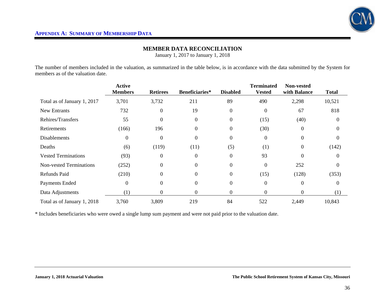

## **MEMBER DATA RECONCILIATION**

January 1, 2017 to January 1, 2018

The number of members included in the valuation, as summarized in the table below, is in accordance with the data submitted by the System for members as of the valuation date.

|                                | <b>Active</b><br><b>Members</b> | <b>Retirees</b> | Beneficiaries* | <b>Disabled</b>  | <b>Terminated</b><br><b>Vested</b> | <b>Non-vested</b><br>with Balance | <b>Total</b> |
|--------------------------------|---------------------------------|-----------------|----------------|------------------|------------------------------------|-----------------------------------|--------------|
| Total as of January 1, 2017    | 3,701                           | 3,732           | 211            | 89               | 490                                | 2,298                             | 10,521       |
| <b>New Entrants</b>            | 732                             | $\Omega$        | 19             | $\boldsymbol{0}$ | $\overline{0}$                     | 67                                | 818          |
| Rehires/Transfers              | 55                              | $\Omega$        | $\Omega$       | $\boldsymbol{0}$ | (15)                               | (40)                              | $\Omega$     |
| Retirements                    | (166)                           | 196             | $\Omega$       | $\boldsymbol{0}$ | (30)                               | $\Omega$                          | $\Omega$     |
| <b>Disablements</b>            | $\overline{0}$                  | $\overline{0}$  | $\Omega$       | $\boldsymbol{0}$ | $\boldsymbol{0}$                   | $\Omega$                          | $\Omega$     |
| Deaths                         | (6)                             | (119)           | (11)           | (5)              | (1)                                | $\Omega$                          | (142)        |
| <b>Vested Terminations</b>     | (93)                            | $\Omega$        | $\Omega$       | $\boldsymbol{0}$ | 93                                 | $\Omega$                          | $\Omega$     |
| <b>Non-vested Terminations</b> | (252)                           | $\Omega$        | 0              | $\theta$         | $\theta$                           | 252                               | $\Omega$     |
| Refunds Paid                   | (210)                           | $\theta$        | $\Omega$       | $\boldsymbol{0}$ | (15)                               | (128)                             | (353)        |
| Payments Ended                 | $\boldsymbol{0}$                | $\Omega$        | 0              | $\boldsymbol{0}$ | $\boldsymbol{0}$                   | $\Omega$                          | $\Omega$     |
| Data Adjustments               | (1)                             | $\theta$        | 0              | $\mathbf{0}$     | 0                                  | $\Omega$                          | (1)          |
| Total as of January 1, 2018    | 3,760                           | 3,809           | 219            | 84               | 522                                | 2,449                             | 10,843       |

\* Includes beneficiaries who were owed a single lump sum payment and were not paid prior to the valuation date.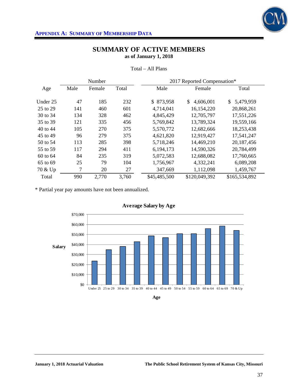

|          |      | Number |       | 2017 Reported Compensation* |                 |                 |  |
|----------|------|--------|-------|-----------------------------|-----------------|-----------------|--|
| Age      | Male | Female | Total | Male                        | Female          | Total           |  |
|          |      |        |       |                             |                 |                 |  |
| Under 25 | 47   | 185    | 232   | \$873,958                   | \$<br>4,606,001 | 5,479,959<br>\$ |  |
| 25 to 29 | 141  | 460    | 601   | 4,714,041                   | 16,154,220      | 20,868,261      |  |
| 30 to 34 | 134  | 328    | 462   | 4,845,429                   | 12,705,797      | 17,551,226      |  |
| 35 to 39 | 121  | 335    | 456   | 5,769,842                   | 13,789,324      | 19,559,166      |  |
| 40 to 44 | 105  | 270    | 375   | 5,570,772                   | 12,682,666      | 18,253,438      |  |
| 45 to 49 | 96   | 279    | 375   | 4,621,820                   | 12,919,427      | 17,541,247      |  |
| 50 to 54 | 113  | 285    | 398   | 5,718,246                   | 14,469,210      | 20,187,456      |  |
| 55 to 59 | 117  | 294    | 411   | 6,194,173                   | 14,590,326      | 20,784,499      |  |
| 60 to 64 | 84   | 235    | 319   | 5,072,583                   | 12,688,082      | 17,760,665      |  |
| 65 to 69 | 25   | 79     | 104   | 1,756,967                   | 4,332,241       | 6,089,208       |  |
| 70 & Up  | 7    | 20     | 27    | 347,669                     | 1,112,098       | 1,459,767       |  |
| Total    | 990  | 2,770  | 3,760 | \$45,485,500                | \$120,049,392   | \$165,534,892   |  |

Total – All Plans

\* Partial year pay amounts have not been annualized.



**Age**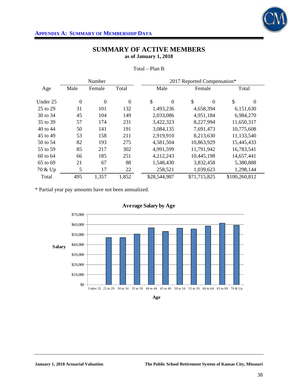

|          |                | Number         |                  |                      | 2017 Reported Compensation* |                |
|----------|----------------|----------------|------------------|----------------------|-----------------------------|----------------|
| Age      | Male           | Female         | Total            | Male                 | Female                      | Total          |
|          |                |                |                  |                      |                             |                |
| Under 25 | $\overline{0}$ | $\overline{0}$ | $\boldsymbol{0}$ | \$<br>$\overline{0}$ | \$<br>$\Omega$              | \$<br>$\theta$ |
| 25 to 29 | 31             | 101            | 132              | 1,493,236            | 4,658,394                   | 6,151,630      |
| 30 to 34 | 45             | 104            | 149              | 2,033,086            | 4,951,184                   | 6,984,270      |
| 35 to 39 | 57             | 174            | 231              | 3,422,323            | 8,227,994                   | 11,650,317     |
| 40 to 44 | 50             | 141            | 191              | 3,084,135            | 7,691,473                   | 10,775,608     |
| 45 to 49 | 53             | 158            | 211              | 2,919,910            | 8,213,630                   | 11,133,540     |
| 50 to 54 | 82             | 193            | 275              | 4,581,504            | 10,863,929                  | 15,445,433     |
| 55 to 59 | 85             | 217            | 302              | 4,991,599            | 11,791,942                  | 16,783,541     |
| 60 to 64 | 66             | 185            | 251              | 4,212,243            | 10,445,198                  | 14,657,441     |
| 65 to 69 | 21             | 67             | 88               | 1,548,430            | 3,832,458                   | 5,380,888      |
| 70 & Up  | 5              | 17             | 22               | 258,521              | 1,039,623                   | 1,298,144      |
| Total    | 495            | 1,357          | 1,852            | \$28,544,987         | \$71,715,825                | \$100,260,812  |

Total – Plan B

\* Partial year pay amounts have not been annualized.





**Age**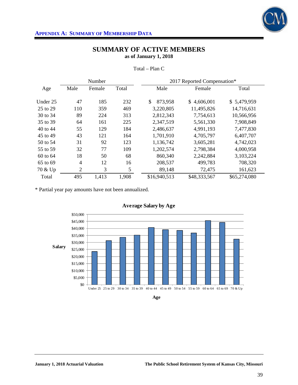

|          |                | Number |       | 2017 Reported Compensation* |              |              |  |
|----------|----------------|--------|-------|-----------------------------|--------------|--------------|--|
| Age      | Male           | Female | Total | Male                        | Female       | Total        |  |
| Under 25 | 47             | 185    | 232   | \$<br>873,958               | \$4,606,001  | \$5,479,959  |  |
| 25 to 29 | 110            | 359    | 469   | 3,220,805                   | 11,495,826   | 14,716,631   |  |
| 30 to 34 | 89             | 224    | 313   | 2,812,343                   | 7,754,613    | 10,566,956   |  |
| 35 to 39 | 64             | 161    | 225   | 2,347,519                   | 5,561,330    | 7,908,849    |  |
| 40 to 44 | 55             | 129    | 184   | 2,486,637                   | 4,991,193    | 7,477,830    |  |
| 45 to 49 | 43             | 121    | 164   | 1,701,910                   | 4,705,797    | 6,407,707    |  |
| 50 to 54 | 31             | 92     | 123   | 1,136,742                   | 3,605,281    | 4,742,023    |  |
| 55 to 59 | 32             | 77     | 109   | 1,202,574                   | 2,798,384    | 4,000,958    |  |
| 60 to 64 | 18             | 50     | 68    | 860,340                     | 2,242,884    | 3,103,224    |  |
| 65 to 69 | $\overline{4}$ | 12     | 16    | 208,537                     | 499,783      | 708,320      |  |
| 70 & Up  | $\overline{2}$ | 3      | 5     | 89,148                      | 72,475       | 161,623      |  |
| Total    | 495            | 1,413  | 1,908 | \$16,940,513                | \$48,333,567 | \$65,274,080 |  |

Total – Plan C

\* Partial year pay amounts have not been annualized.



**Age**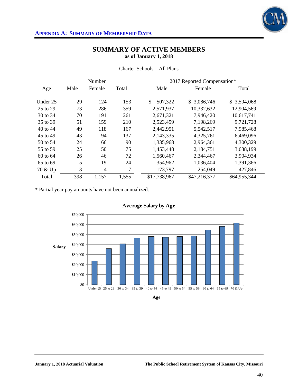

| Charter Schools – All Plans |  |
|-----------------------------|--|
|                             |  |

|          |      | Number         |       | 2017 Reported Compensation* |              |              |  |
|----------|------|----------------|-------|-----------------------------|--------------|--------------|--|
| Age      | Male | Female         | Total | Male                        | Female       | Total        |  |
| Under 25 | 29   | 124            | 153   | \$<br>507,322               | \$3,086,746  | \$3,594,068  |  |
| 25 to 29 | 73   | 286            | 359   | 2,571,937                   | 10,332,632   | 12,904,569   |  |
| 30 to 34 | 70   | 191            | 261   | 2,671,321                   | 7,946,420    | 10,617,741   |  |
| 35 to 39 | 51   | 159            | 210   | 2,523,459                   | 7,198,269    | 9,721,728    |  |
| 40 to 44 | 49   | 118            | 167   | 2,442,951                   | 5,542,517    | 7,985,468    |  |
| 45 to 49 | 43   | 94             | 137   | 2,143,335                   | 4,325,761    | 6,469,096    |  |
| 50 to 54 | 24   | 66             | 90    | 1,335,968                   | 2,964,361    | 4,300,329    |  |
| 55 to 59 | 25   | 50             | 75    | 1,453,448                   | 2,184,751    | 3,638,199    |  |
| 60 to 64 | 26   | 46             | 72    | 1,560,467                   | 2,344,467    | 3,904,934    |  |
| 65 to 69 | 5    | 19             | 24    | 354,962                     | 1,036,404    | 1,391,366    |  |
| 70 & Up  | 3    | $\overline{4}$ | 7     | 173,797                     | 254,049      | 427,846      |  |
| Total    | 398  | 1,157          | 1,555 | \$17,738,967                | \$47,216,377 | \$64,955,344 |  |

\* Partial year pay amounts have not been annualized.



**Age**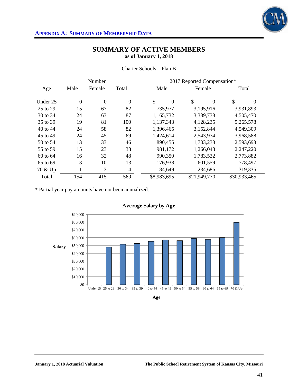

|          |                | Number       | 2017 Reported Compensation* |                        |                        |              |
|----------|----------------|--------------|-----------------------------|------------------------|------------------------|--------------|
| Age      | Male           | Female       | Total                       | Male                   | Female                 | Total        |
| Under 25 | $\overline{0}$ | $\mathbf{0}$ | $\boldsymbol{0}$            | \$<br>$\boldsymbol{0}$ | \$<br>$\boldsymbol{0}$ | \$<br>0      |
| 25 to 29 | 15             | 67           | 82                          | 735,977                | 3,195,916              | 3,931,893    |
| 30 to 34 | 24             | 63           | 87                          | 1,165,732              | 3,339,738              | 4,505,470    |
| 35 to 39 | 19             | 81           | 100                         | 1,137,343              | 4,128,235              | 5,265,578    |
| 40 to 44 | 24             | 58           | 82                          | 1,396,465              | 3,152,844              | 4,549,309    |
| 45 to 49 | 24             | 45           | 69                          | 1,424,614              | 2,543,974              | 3,968,588    |
| 50 to 54 | 13             | 33           | 46                          | 890,455                | 1,703,238              | 2,593,693    |
| 55 to 59 | 15             | 23           | 38                          | 981,172                | 1,266,048              | 2,247,220    |
| 60 to 64 | 16             | 32           | 48                          | 990,350                | 1,783,532              | 2,773,882    |
| 65 to 69 | 3              | 10           | 13                          | 176,938                | 601,559                | 778,497      |
| 70 & Up  | -1             | 3            | $\overline{4}$              | 84,649                 | 234,686                | 319,335      |
| Total    | 154            | 415          | 569                         | \$8,983,695            | \$21,949,770           | \$30,933,465 |

Charter Schools – Plan B

\* Partial year pay amounts have not been annualized.



**Age**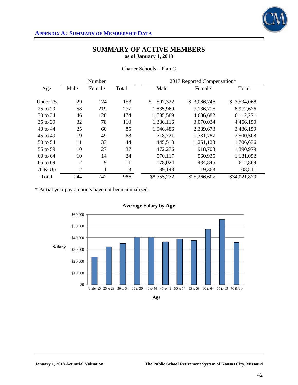

|          |                | Number |       | 2017 Reported Compensation* |              |              |  |
|----------|----------------|--------|-------|-----------------------------|--------------|--------------|--|
| Age      | Male           | Female | Total | Male                        | Female       | Total        |  |
|          |                |        |       |                             |              |              |  |
| Under 25 | 29             | 124    | 153   | 507,322                     | \$3,086,746  | \$3,594,068  |  |
| 25 to 29 | 58             | 219    | 277   | 1,835,960                   | 7,136,716    | 8,972,676    |  |
| 30 to 34 | 46             | 128    | 174   | 1,505,589                   | 4,606,682    | 6,112,271    |  |
| 35 to 39 | 32             | 78     | 110   | 1,386,116                   | 3,070,034    | 4,456,150    |  |
| 40 to 44 | 25             | 60     | 85    | 1,046,486                   | 2,389,673    | 3,436,159    |  |
| 45 to 49 | 19             | 49     | 68    | 718,721                     | 1,781,787    | 2,500,508    |  |
| 50 to 54 | 11             | 33     | 44    | 445,513                     | 1,261,123    | 1,706,636    |  |
| 55 to 59 | 10             | 27     | 37    | 472,276                     | 918,703      | 1,390,979    |  |
| 60 to 64 | 10             | 14     | 24    | 570,117                     | 560,935      | 1,131,052    |  |
| 65 to 69 | $\overline{2}$ | 9      | 11    | 178,024                     | 434,845      | 612,869      |  |
| 70 & Up  | $\overline{2}$ | 1<br>T | 3     | 89,148                      | 19,363       | 108,511      |  |
| Total    | 244            | 742    | 986   | \$8,755,272                 | \$25,266,607 | \$34,021,879 |  |

Charter Schools – Plan C

\* Partial year pay amounts have not been annualized.



**Average Salary by Age**

**Age**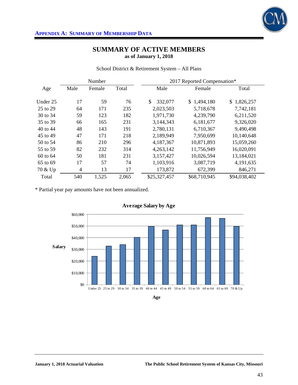

School District & Retirement System – All Plans

|          |                | 2017 Reported Compensation*<br>Number |       |              |              |              |
|----------|----------------|---------------------------------------|-------|--------------|--------------|--------------|
| Age      | Male           | Female                                | Total | Male         | Female       | Total        |
|          |                |                                       |       |              |              |              |
| Under 25 | 17             | 59                                    | 76    | 332,077      | \$1,494,180  | \$1,826,257  |
| 25 to 29 | 64             | 171                                   | 235   | 2,023,503    | 5,718,678    | 7,742,181    |
| 30 to 34 | 59             | 123                                   | 182   | 1,971,730    | 4,239,790    | 6,211,520    |
| 35 to 39 | 66             | 165                                   | 231   | 3,144,343    | 6,181,677    | 9,326,020    |
| 40 to 44 | 48             | 143                                   | 191   | 2,780,131    | 6,710,367    | 9,490,498    |
| 45 to 49 | 47             | 171                                   | 218   | 2,189,949    | 7,950,699    | 10,140,648   |
| 50 to 54 | 86             | 210                                   | 296   | 4,187,367    | 10,871,893   | 15,059,260   |
| 55 to 59 | 82             | 232                                   | 314   | 4,263,142    | 11,756,949   | 16,020,091   |
| 60 to 64 | 50             | 181                                   | 231   | 3,157,427    | 10,026,594   | 13,184,021   |
| 65 to 69 | 17             | 57                                    | 74    | 1,103,916    | 3,087,719    | 4,191,635    |
| 70 & Up  | $\overline{4}$ | 13                                    | 17    | 173,872      | 672,399      | 846,271      |
| Total    | 540            | 1,525                                 | 2,065 | \$25,327,457 | \$68,710,945 | \$94,038,402 |

\* Partial year pay amounts have not been annualized.



**Age**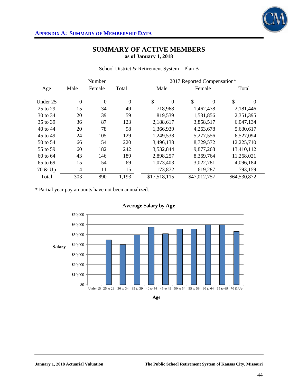

|  | School District & Retirement System - Plan B |  |  |
|--|----------------------------------------------|--|--|
|  |                                              |  |  |

|          |                | Number       |                  | 2017 Reported Compensation*     |                |                |  |  |  |  |
|----------|----------------|--------------|------------------|---------------------------------|----------------|----------------|--|--|--|--|
| Age      | Male           | Female       | Total            | Male                            | Female         | Total          |  |  |  |  |
| Under 25 | $\overline{0}$ | $\mathbf{0}$ | $\boldsymbol{0}$ | $\mathcal{S}$<br>$\overline{0}$ | \$<br>$\theta$ | \$<br>$\theta$ |  |  |  |  |
| 25 to 29 | 15             | 34           | 49               | 718,968                         | 1,462,478      | 2,181,446      |  |  |  |  |
| 30 to 34 | 20             | 39           | 59               | 819,539                         | 1,531,856      | 2,351,395      |  |  |  |  |
| 35 to 39 | 36             | 87           | 123              | 2,188,617                       | 3,858,517      | 6,047,134      |  |  |  |  |
| 40 to 44 | 20             | 78           | 98               | 1,366,939                       | 4,263,678      | 5,630,617      |  |  |  |  |
| 45 to 49 | 24             | 105          | 129              | 1,249,538                       | 5,277,556      | 6,527,094      |  |  |  |  |
| 50 to 54 | 66             | 154          | 220              | 3,496,138                       | 8,729,572      | 12,225,710     |  |  |  |  |
| 55 to 59 | 60             | 182          | 242              | 3,532,844                       | 9,877,268      | 13,410,112     |  |  |  |  |
| 60 to 64 | 43             | 146          | 189              | 2,898,257                       | 8,369,764      | 11,268,021     |  |  |  |  |
| 65 to 69 | 15             | 54           | 69               | 1,073,403                       | 3,022,781      | 4,096,184      |  |  |  |  |
| 70 & Up  | $\overline{4}$ | 11           | 15               | 173,872                         | 619,287        | 793,159        |  |  |  |  |
| Total    | 303            | 890          | 1,193            | \$17,518,115                    | \$47,012,757   | \$64,530,872   |  |  |  |  |

\* Partial year pay amounts have not been annualized.





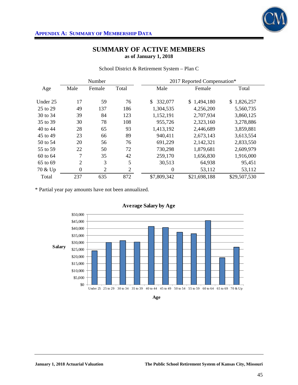

School District & Retirement System – Plan C

|          | Number<br>2017 Reported Compensation* |                |              |                  |              |              |  |  |  |
|----------|---------------------------------------|----------------|--------------|------------------|--------------|--------------|--|--|--|
| Age      | Male                                  | Female         | Total        | Male             | Female       | Total        |  |  |  |
| Under 25 | 17                                    | 59             | 76           | \$<br>332,077    | \$1,494,180  | \$1,826,257  |  |  |  |
| 25 to 29 | 49                                    | 137            | 186          | 1,304,535        | 4,256,200    | 5,560,735    |  |  |  |
| 30 to 34 | 39                                    | 84             | 123          | 1,152,191        | 2,707,934    | 3,860,125    |  |  |  |
| 35 to 39 | 30                                    | 78             | 108          | 955,726          | 2,323,160    | 3,278,886    |  |  |  |
| 40 to 44 | 28                                    | 65             | 93           | 1,413,192        | 2,446,689    | 3,859,881    |  |  |  |
| 45 to 49 | 23                                    | 66             | 89           | 940,411          | 2,673,143    | 3,613,554    |  |  |  |
| 50 to 54 | 20                                    | 56             | 76           | 691,229          | 2,142,321    | 2,833,550    |  |  |  |
| 55 to 59 | 22                                    | 50             | 72           | 730,298          | 1,879,681    | 2,609,979    |  |  |  |
| 60 to 64 | 7                                     | 35             | 42           | 259,170          | 1,656,830    | 1,916,000    |  |  |  |
| 65 to 69 | $\overline{2}$                        | 3              | 5            | 30,513           | 64,938       | 95,451       |  |  |  |
| 70 & Up  | $\boldsymbol{0}$                      | $\overline{2}$ | $\mathbf{2}$ | $\boldsymbol{0}$ | 53,112       | 53,112       |  |  |  |
| Total    | 237                                   | 635            | 872          | \$7,809,342      | \$21,698,188 | \$29,507,530 |  |  |  |

\* Partial year pay amounts have not been annualized.



**Age**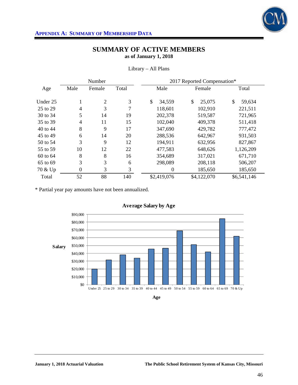

|          |                  | Number         |       | 2017 Reported Compensation* |              |              |  |  |  |
|----------|------------------|----------------|-------|-----------------------------|--------------|--------------|--|--|--|
| Age      | Male             | Female         | Total | Male                        | Female       | Total        |  |  |  |
| Under 25 | 1                | $\overline{2}$ | 3     | \$<br>34,559                | \$<br>25,075 | \$<br>59,634 |  |  |  |
| 25 to 29 | $\overline{4}$   | 3              | 7     | 118,601                     | 102,910      | 221,511      |  |  |  |
| 30 to 34 | 5                | 14             | 19    | 202,378                     | 519,587      | 721,965      |  |  |  |
| 35 to 39 | $\overline{4}$   | 11             | 15    | 102,040                     | 409,378      | 511,418      |  |  |  |
| 40 to 44 | 8                | 9              | 17    | 347,690                     | 429,782      | 777,472      |  |  |  |
| 45 to 49 | 6                | 14             | 20    | 288,536                     | 642,967      | 931,503      |  |  |  |
| 50 to 54 | 3                | 9              | 12    | 194,911                     | 632,956      | 827,867      |  |  |  |
| 55 to 59 | 10               | 12             | 22    | 477,583                     | 648,626      | 1,126,209    |  |  |  |
| 60 to 64 | 8                | 8              | 16    | 354,689                     | 317,021      | 671,710      |  |  |  |
| 65 to 69 | 3                | 3              | 6     | 298,089                     | 208,118      | 506,207      |  |  |  |
| 70 & Up  | $\boldsymbol{0}$ | 3              | 3     | $\theta$                    | 185,650      | 185,650      |  |  |  |
| Total    | 52               | 88             | 140   | \$2,419,076                 | \$4,122,070  | \$6,541,146  |  |  |  |

### Library – All Plans

\* Partial year pay amounts have not been annualized.



**Age**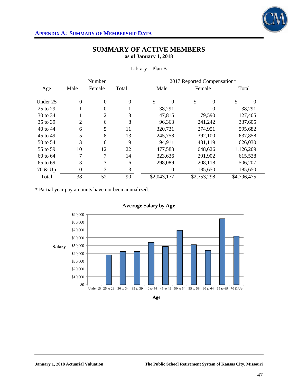

|          |                  | Number         |          | 2017 Reported Compensation* |                |             |  |  |  |  |
|----------|------------------|----------------|----------|-----------------------------|----------------|-------------|--|--|--|--|
| Age      | Male             | Female         | Total    | Male                        | Female         | Total       |  |  |  |  |
| Under 25 | $\theta$         | $\mathbf{0}$   | $\theta$ | \$<br>$\theta$              | \$<br>$\theta$ | \$<br>0     |  |  |  |  |
| 25 to 29 |                  | $\mathbf{0}$   |          | 38,291                      |                | 38,291      |  |  |  |  |
| 30 to 34 |                  | $\overline{2}$ | 3        | 47,815                      | 79,590         | 127,405     |  |  |  |  |
| 35 to 39 | 2                | 6              | 8        | 96,363                      | 241,242        | 337,605     |  |  |  |  |
| 40 to 44 | 6                | 5              | 11       | 320,731                     | 274,951        | 595,682     |  |  |  |  |
| 45 to 49 | 5                | 8              | 13       | 245,758                     | 392,100        | 637,858     |  |  |  |  |
| 50 to 54 | 3                | 6              | 9        | 194,911                     | 431,119        | 626,030     |  |  |  |  |
| 55 to 59 | 10               | 12             | 22       | 477,583                     | 648,626        | 1,126,209   |  |  |  |  |
| 60 to 64 | 7                | 7              | 14       | 323,636                     | 291,902        | 615,538     |  |  |  |  |
| 65 to 69 | 3                | 3              | 6        | 298,089                     | 208,118        | 506,207     |  |  |  |  |
| 70 & Up  | $\boldsymbol{0}$ | 3              | 3        | $\theta$                    | 185,650        | 185,650     |  |  |  |  |
| Total    | 38               | 52             | 90       | \$2,043,177                 | \$2,753,298    | \$4,796,475 |  |  |  |  |

Library – Plan B

\* Partial year pay amounts have not been annualized.



**Age**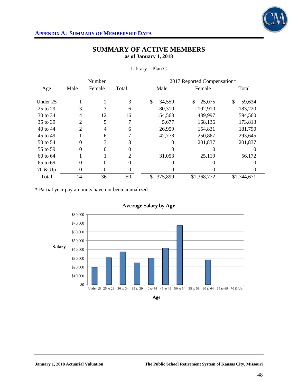

|          |          | Number   |          | 2017 Reported Compensation* |                   |              |  |  |  |  |
|----------|----------|----------|----------|-----------------------------|-------------------|--------------|--|--|--|--|
| Age      | Male     | Female   | Total    | Male                        | Female            | Total        |  |  |  |  |
| Under 25 |          | 2        | 3        | \$<br>34,559                | \$<br>25,075      | \$<br>59,634 |  |  |  |  |
| 25 to 29 | 3        | 3        | 6        | 80,310                      | 102,910           | 183,220      |  |  |  |  |
| 30 to 34 | 4        | 12       | 16       | 154,563                     | 439,997           | 594,560      |  |  |  |  |
| 35 to 39 | 2        | 5        |          | 5,677                       | 168,136           | 173,813      |  |  |  |  |
| 40 to 44 | 2        | 4        | 6        | 26,959                      | 154,831           | 181,790      |  |  |  |  |
| 45 to 49 |          | 6        |          | 42,778                      | 250,867           | 293,645      |  |  |  |  |
| 50 to 54 | 0        | 3        | 3        | 0                           | 201,837           | 201,837      |  |  |  |  |
| 55 to 59 | $\theta$ | $\theta$ | $\theta$ |                             | $\mathbf{\Omega}$ |              |  |  |  |  |
| 60 to 64 |          |          | 2        | 31,053                      | 25,119            | 56,172       |  |  |  |  |
| 65 to 69 | $\theta$ | 0        | $\theta$ | $\theta$                    | 0                 |              |  |  |  |  |
| 70 & Up  | 0        | 0        | 0        | 0                           |                   |              |  |  |  |  |
| Total    | 14       | 36       | 50       | \$<br>375,899               | \$1,368,772       | \$1,744,671  |  |  |  |  |

Library – Plan C

\* Partial year pay amounts have not been annualized.



**Age**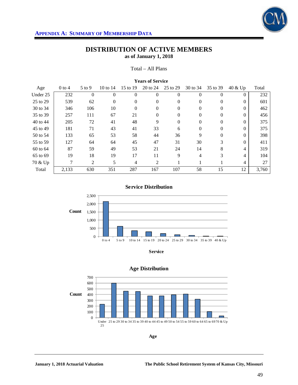

#### Total – All Plans

| <b>Years of Service</b> |          |          |              |                |                |                  |          |                |          |       |
|-------------------------|----------|----------|--------------|----------------|----------------|------------------|----------|----------------|----------|-------|
| Age                     | $0$ to 4 | $5$ to 9 | 10 to 14     | 15 to 19       | 20 to 24       | 25 to 29         | 30 to 34 | 35 to 39       | 40 & Up  | Total |
| Under 25                | 232      | $\theta$ | $\theta$     | $\theta$       | $\Omega$       | $\boldsymbol{0}$ | $\Omega$ | $\overline{0}$ | $\Omega$ | 232   |
| 25 to 29                | 539      | 62       | $\mathbf{0}$ | $\Omega$       | $\Omega$       | $\overline{0}$   | $\Omega$ | $\Omega$       | $\Omega$ | 601   |
| 30 to 34                | 346      | 106      | 10           | $\overline{0}$ | $\Omega$       | 0                | $\Omega$ | $\mathbf{0}$   | $\Omega$ | 462   |
| 35 to 39                | 257      | 111      | 67           | 21             | $\Omega$       | 0                | $\Omega$ | $\Omega$       | $\Omega$ | 456   |
| 40 to 44                | 205      | 72       | 41           | 48             | 9              | $\overline{0}$   | $\Omega$ | $\Omega$       | $\Omega$ | 375   |
| 45 to 49                | 181      | 71       | 43           | 41             | 33             | 6                | $\Omega$ | $\mathbf{0}$   | $\Omega$ | 375   |
| 50 to 54                | 133      | 65       | 53           | 58             | 44             | 36               | 9        | $\Omega$       | $\Omega$ | 398   |
| 55 to 59                | 127      | 64       | 64           | 45             | 47             | 31               | 30       | 3              | $\Omega$ | 411   |
| 60 to 64                | 87       | 59       | 49           | 53             | 21             | 24               | 14       | 8              | 4        | 319   |
| 65 to 69                | 19       | 18       | 19           | 17             | 11             | 9                | 4        | 3              | 4        | 104   |
| 70 & Up                 | 7        | 2        | 5            | $\overline{4}$ | $\overline{c}$ | 1                | 1        |                | 4        | 27    |
| Total                   | 2,133    | 630      | 351          | 287            | 167            | 107              | 58       | 15             | 12       | 3,760 |

### **Service Distribution**



**Service**



### **Age Distribution**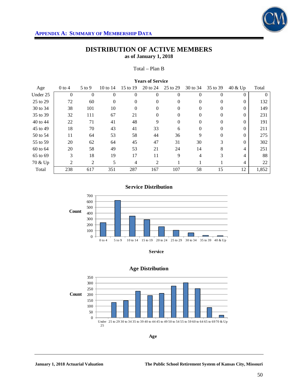

#### Total – Plan B

| <b>Years of Service</b> |                |                |                |                |                |                  |          |                |          |          |
|-------------------------|----------------|----------------|----------------|----------------|----------------|------------------|----------|----------------|----------|----------|
| Age                     | $0$ to 4       | $5$ to 9       | 10 to $14$     | 15 to 19       | 20 to 24       | 25 to 29         | 30 to 34 | 35 to 39       | 40 & Up  | Total    |
| Under 25                | $\overline{0}$ | $\overline{0}$ | $\overline{0}$ | $\overline{0}$ | $\Omega$       | $\boldsymbol{0}$ | $\Omega$ | $\overline{0}$ | $\Omega$ | $\theta$ |
| 25 to 29                | 72             | 60             | $\mathbf{0}$   | $\Omega$       | $\Omega$       | $\overline{0}$   | $\Omega$ | $\Omega$       | $\Omega$ | 132      |
| 30 to 34                | 38             | 101            | 10             | $\overline{0}$ | $\Omega$       | 0                | $\Omega$ | $\mathbf{0}$   | $\Omega$ | 149      |
| 35 to 39                | 32             | 111            | 67             | 21             | $\Omega$       | 0                | $\Omega$ | $\Omega$       | $\Omega$ | 231      |
| 40 to 44                | 22             | 71             | 41             | 48             | 9              | $\overline{0}$   | $\Omega$ | $\Omega$       | $\Omega$ | 191      |
| 45 to 49                | 18             | 70             | 43             | 41             | 33             | 6                | $\Omega$ | $\mathbf{0}$   | $\Omega$ | 211      |
| 50 to 54                | 11             | 64             | 53             | 58             | 44             | 36               | 9        | $\Omega$       | $\Omega$ | 275      |
| 55 to 59                | 20             | 62             | 64             | 45             | 47             | 31               | 30       | 3              | $\Omega$ | 302      |
| 60 to 64                | 20             | 58             | 49             | 53             | 21             | 24               | 14       | 8              | 4        | 251      |
| 65 to 69                | 3              | 18             | 19             | 17             | 11             | 9                | 4        | 3              | 4        | 88       |
| 70 & Up                 | 2              | 2              | 5              | $\overline{4}$ | $\overline{c}$ | 1                |          |                | 4        | 22       |
| Total                   | 238            | 617            | 351            | 287            | 167            | 107              | 58       | 15             | 12       | 1,852    |

### **Service Distribution**



**Service**



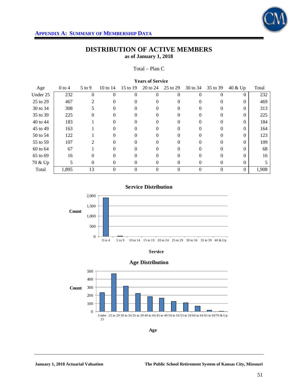

#### Total – Plan C

| <b>Years of Service</b> |          |          |            |                |          |          |          |                |          |       |
|-------------------------|----------|----------|------------|----------------|----------|----------|----------|----------------|----------|-------|
| Age                     | $0$ to 4 | $5$ to 9 | 10 to $14$ | 15 to 19       | 20 to 24 | 25 to 29 | 30 to 34 | 35 to 39       | 40 & Up  | Total |
| Under 25                | 232      | 0        | $\Omega$   | $\Omega$       | $\theta$ | 0        | $\Omega$ | $\theta$       | $\theta$ | 232   |
| 25 to 29                | 467      | 2        | 0          | $\Omega$       | $\Omega$ | 0        | 0        | $\Omega$       | $\Omega$ | 469   |
| 30 to 34                | 308      | 5        | $\Omega$   | $\Omega$       | $\Omega$ | 0        | $\Omega$ | $\Omega$       | $\theta$ | 313   |
| 35 to 39                | 225      | $\Omega$ | 0          |                | 0        | 0        |          | $\Omega$       | $\Omega$ | 225   |
| 40 to 44                | 183      |          | $\Omega$   | $\Omega$       | 0        | 0        | $\Omega$ | $\Omega$       | $\Omega$ | 184   |
| 45 to 49                | 163      |          | 0          | 0              | 0        | 0        |          | $\theta$       | 0        | 164   |
| 50 to 54                | 122      |          | 0          | $\Omega$       | $\Omega$ | 0        |          | $\Omega$       | $\Omega$ | 123   |
| 55 to 59                | 107      | 2        | $\Omega$   | $\Omega$       | $\Omega$ | 0        | $\Omega$ | $\Omega$       | $\Omega$ | 109   |
| 60 to 64                | 67       |          | 0          |                | $\Omega$ | 0        |          | $\Omega$       | 0        | 68    |
| 65 to 69                | 16       | $\Omega$ | $\Omega$   | $\Omega$       | $\Omega$ | 0        | $\Omega$ | $\Omega$       | $\Omega$ | 16    |
| 70 & Up                 | 5        | $\Omega$ | 0          | $\Omega$       | $\Omega$ | 0        | $\Omega$ | $\theta$       | $\Omega$ |       |
| Total                   | 1,895    | 13       | $\theta$   | $\overline{0}$ | $\theta$ | 0        | $\theta$ | $\overline{0}$ | $\Omega$ | 1,908 |

**Service Distribution**







**Age**

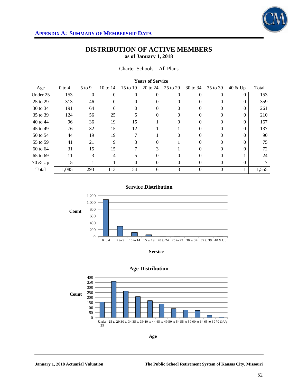

#### Charter Schools – All Plans

| <b>TEGIS OF DELVICE</b> |          |            |          |          |          |          |          |          |          |       |
|-------------------------|----------|------------|----------|----------|----------|----------|----------|----------|----------|-------|
| Age                     | $0$ to 4 | $5$ to $9$ | 10 to 14 | 15 to 19 | 20 to 24 | 25 to 29 | 30 to 34 | 35 to 39 | 40 & Up  | Total |
| Under 25                | 153      | $\Omega$   | $\Omega$ | $\Omega$ | $\Omega$ | $\theta$ | 0        | $\Omega$ | $\Omega$ | 153   |
| 25 to 29                | 313      | 46         | $\theta$ | $\Omega$ | 0        | 0        | $\Omega$ | $\Omega$ | $\Omega$ | 359   |
| 30 to 34                | 191      | 64         | 6        | 0        | 0        | 0        | 0        | $\Omega$ | 0        | 261   |
| 35 to 39                | 124      | 56         | 25       |          | 0        | 0        |          | 0        | 0        | 210   |
| 40 to 44                | 96       | 36         | 19       | 15       |          | 0        | $\Omega$ | $\Omega$ | $\Omega$ | 167   |
| 45 to 49                | 76       | 32         | 15       | 12       |          |          | 0        | $\Omega$ | $\Omega$ | 137   |
| 50 to 54                | 44       | 19         | 19       |          |          |          |          | $\Omega$ | 0        | 90    |
| 55 to 59                | 41       | 21         | 9        |          | $\Omega$ |          |          | $\Omega$ |          | 75    |
| 60 to 64                | 31       | 15         | 15       |          | 3        |          | $\Omega$ | $\Omega$ | $\Omega$ | 72    |
| 65 to 69                | 11       | 3          | 4        | 5        | 0        | 0        | $\Omega$ | $\Omega$ |          | 24    |
| 70 & Up                 | 5        |            |          | 0        | 0        | 0        | $\theta$ | 0        | $\Omega$ |       |
| Total                   | 1,085    | 293        | 113      | 54       | 6        | 3        | $\Omega$ | $\Omega$ |          | 1,555 |

#### **Years of Service**

#### **Service Distribution**



**Service**



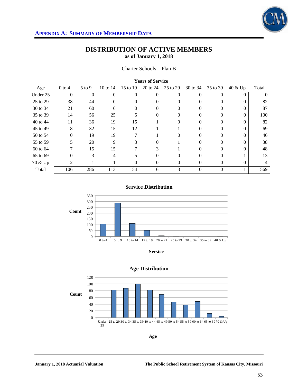

| <b>TEGIS OF DELVICE</b> |          |            |          |          |          |          |          |          |          |       |
|-------------------------|----------|------------|----------|----------|----------|----------|----------|----------|----------|-------|
| Age                     | $0$ to 4 | $5$ to $9$ | 10 to 14 | 15 to 19 | 20 to 24 | 25 to 29 | 30 to 34 | 35 to 39 | 40 & Up  | Total |
| Under 25                | $\theta$ | $\Omega$   | 0        | $\Omega$ | $\Omega$ | $\Omega$ | $\Omega$ | $\Omega$ | 0        |       |
| 25 to 29                | 38       | 44         | $\theta$ | $\theta$ | $\Omega$ | $\theta$ | $\Omega$ | 0        | 0        | 82    |
| 30 to 34                | 21       | 60         | 6        |          | $\theta$ | 0        |          | $\theta$ |          | 87    |
| 35 to 39                | 14       | 56         | 25       |          | 0        |          |          | 0        | 0        | 100   |
| 40 to 44                | 11       | 36         | 19       | 15       |          | $^{(1)}$ |          | 0        | $\Omega$ | 82    |
| 45 to 49                | 8        | 32         | 15       | 12       |          |          | $\Omega$ | 0        | 0        | 69    |
| 50 to 54                | 0        | 19         | 19       |          |          |          |          |          |          | 46    |
| 55 to 59                | 5        | 20         | 9        |          | $\Omega$ |          |          | 0        |          | 38    |
| 60 to 64                |          | 15         | 15       |          | 3        |          | 0        | $\Omega$ | 0        | 48    |
| 65 to 69                | 0        | 3          | 4        |          | 0        | 0        | $\Omega$ | 0        |          | 13    |
| 70 & Up                 | 2        |            |          | $\Omega$ | 0        | 0        |          |          |          |       |
| Total                   | 106      | 286        | 113      | 54       | 6        | 3        | $\theta$ | $\theta$ |          | 569   |

#### **Years of Service**

#### **Service Distribution**



**Service**



## **Age Distribution**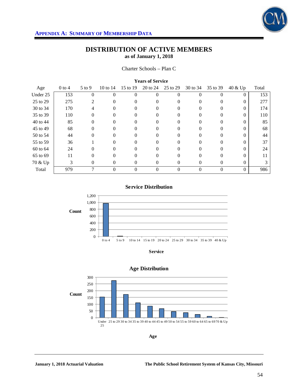

Charter Schools – Plan C

| <b>Years of Service</b> |          |          |            |                |          |          |          |          |          |       |
|-------------------------|----------|----------|------------|----------------|----------|----------|----------|----------|----------|-------|
| Age                     | $0$ to 4 | $5$ to 9 | 10 to $14$ | 15 to 19       | 20 to 24 | 25 to 29 | 30 to 34 | 35 to 39 | 40 & Up  | Total |
| Under 25                | 153      | $\theta$ | $\theta$   | $\overline{0}$ | $\theta$ | 0        | $\Omega$ | $\Omega$ | $\Omega$ | 153   |
| 25 to 29                | 275      | 2        | 0          | $\Omega$       | 0        | 0        | 0        | $\Omega$ | $\Omega$ | 277   |
| 30 to 34                | 170      | 4        | 0          | $\Omega$       | 0        | 0        | 0        | $\Omega$ | $\theta$ | 174   |
| 35 to 39                | 110      | $\Omega$ | 0          |                | $\Omega$ | 0        |          | $\Omega$ | 0        | 110   |
| 40 to 44                | 85       | $\Omega$ | 0          | 0              | $\Omega$ | 0        | $\Omega$ | $\Omega$ | $\Omega$ | 85    |
| 45 to 49                | 68       | 0        | 0          | $\Omega$       | 0        | 0        |          | 0        | 0        | 68    |
| 50 to 54                | 44       | $\Omega$ | 0          | 0              | 0        | 0        |          | $\Omega$ |          | 44    |
| 55 to 59                | 36       |          | 0          | $\Omega$       | $\Omega$ | 0        | $\Omega$ | $\Omega$ | $\Omega$ | 37    |
| 60 to 64                | 24       | 0        | 0          |                | 0        | 0        |          | $\Omega$ | 0        | 24    |
| 65 to 69                | 11       | $\Omega$ | 0          | $\Omega$       | $\Omega$ | 0        | 0        | $\Omega$ | $\Omega$ | 11    |
| 70 & Up                 | 3        | $\Omega$ | 0          | $\Omega$       | $\Omega$ | 0        | $\Omega$ | $\theta$ | $\Omega$ | 3     |
| Total                   | 979      | 7        | 0          | $\overline{0}$ | $\Omega$ | 0        | $\Omega$ | $\Omega$ | $\theta$ | 986   |

**Service Distribution**



**Service**



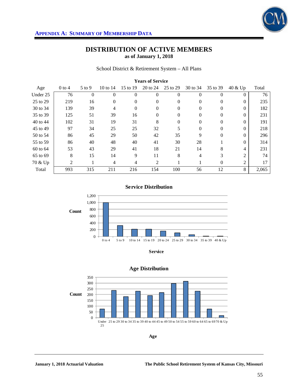

School District & Retirement System – All Plans

| <b>Years of Service</b> |          |          |                |          |              |              |          |                |                |       |
|-------------------------|----------|----------|----------------|----------|--------------|--------------|----------|----------------|----------------|-------|
| Age                     | $0$ to 4 | $5$ to 9 | 10 to $14$     | 15 to 19 | 20 to 24     | 25 to 29     | 30 to 34 | 35 to 39       | 40 & Up        | Total |
| Under 25                | 76       | $\theta$ | $\theta$       | $\theta$ | $\mathbf{0}$ | $\theta$     | $\theta$ | $\overline{0}$ | 0              | 76    |
| 25 to 29                | 219      | 16       | $\Omega$       | $\Omega$ | $\Omega$     | $\mathbf{0}$ | $\Omega$ | $\Omega$       | $\Omega$       | 235   |
| 30 to 34                | 139      | 39       | $\overline{4}$ | $\theta$ | $\mathbf{0}$ | $\mathbf{0}$ | $\Omega$ | $\theta$       | $\Omega$       | 182   |
| 35 to 39                | 125      | 51       | 39             | 16       | $\Omega$     | 0            | $\theta$ | $\overline{0}$ | $\Omega$       | 231   |
| 40 to 44                | 102      | 31       | 19             | 31       | 8            | $\mathbf{0}$ | $\Omega$ | $\theta$       | $\Omega$       | 191   |
| 45 to 49                | 97       | 34       | 25             | 25       | 32           | 5            | $\Omega$ | $\theta$       | $\Omega$       | 218   |
| 50 to 54                | 86       | 45       | 29             | 50       | 42           | 35           | 9        | $\theta$       | $\Omega$       | 296   |
| 55 to 59                | 86       | 40       | 48             | 40       | 41           | 30           | 28       |                | $\Omega$       | 314   |
| 60 to 64                | 53       | 43       | 29             | 41       | 18           | 21           | 14       | 8              | 4              | 231   |
| 65 to 69                | 8        | 15       | 14             | 9        | 11           | 8            | 4        | 3              | $\overline{c}$ | 74    |
| 70 & Up                 | 2        |          | 4              | 4        | 2            |              |          | $\Omega$       | 2              | 17    |
| Total                   | 993      | 315      | 211            | 216      | 154          | 100          | 56       | 12             | 8              | 2,065 |

#### **Service Distribution**



**Service**



### **Age Distribution**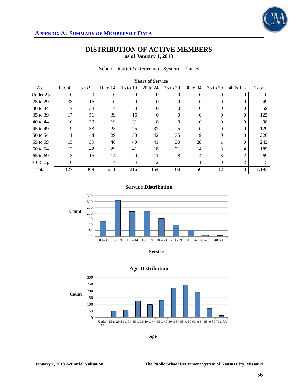

#### School District & Retirement System – Plan B

| <b>Years of Service</b> |                  |                |          |          |                |              |          |          |                |       |
|-------------------------|------------------|----------------|----------|----------|----------------|--------------|----------|----------|----------------|-------|
| Age                     | $0$ to 4         | $5$ to 9       | 10 to 14 | 15 to 19 | 20 to 24       | 25 to 29     | 30 to 34 | 35 to 39 | 40 & Up        | Total |
| Under 25                | $\overline{0}$   | $\overline{0}$ | $\theta$ | $\theta$ | $\overline{0}$ | $\theta$     | $\Omega$ | $\theta$ | $\Omega$       |       |
| 25 to 29                | 33               | 16             | $\Omega$ | $\Omega$ | $\Omega$       | $\theta$     | $\Omega$ | $\Omega$ | $\Omega$       | 49    |
| 30 to 34                | 17               | 38             | 4        | $\theta$ | $\theta$       | 0            | $\Omega$ | 0        | $\Omega$       | 59    |
| 35 to 39                | 17               | 51             | 39       | 16       | $\Omega$       | 0            | $\Omega$ | $\Omega$ | $\Omega$       | 123   |
| 40 to 44                | 10               | 30             | 19       | 31       | 8              | $\mathbf{0}$ | $\Omega$ | $\theta$ | $\Omega$       | 98    |
| 45 to 49                | 9                | 33             | 25       | 25       | 32             | 5            | $\Omega$ | 0        | $\Omega$       | 129   |
| 50 to 54                | 11               | 44             | 29       | 50       | 42             | 35           | 9        | $\theta$ | $\Omega$       | 220   |
| 55 to 59                | 15               | 39             | 48       | 40       | 41             | 30           | 28       |          | $\Omega$       | 242   |
| 60 to 64                | 12               | 42             | 29       | 41       | 18             | 21           | 14       | 8        | 4              | 189   |
| 65 to 69                | 3                | 15             | 14       | 9        | 11             | 8            | 4        | 3        | 2              | 69    |
| 70 & Up                 | $\boldsymbol{0}$ |                | 4        | 4        | 2              |              |          | 0        | $\overline{2}$ | 15    |
| Total                   | 127              | 309            | 211      | 216      | 154            | 100          | 56       | 12       | 8              | 1,193 |

### **Service Distribution**





#### **Age Distribution**



**Age**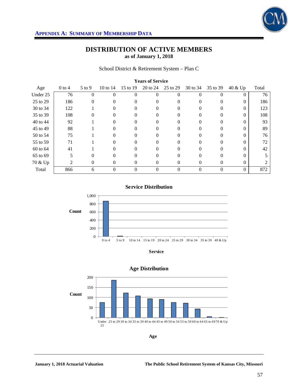

School District & Retirement System – Plan C

| <b>Years of Service</b> |          |          |            |                |          |          |          |          |          |       |
|-------------------------|----------|----------|------------|----------------|----------|----------|----------|----------|----------|-------|
| Age                     | $0$ to 4 | $5$ to 9 | 10 to $14$ | 15 to 19       | 20 to 24 | 25 to 29 | 30 to 34 | 35 to 39 | 40 & Up  | Total |
| Under 25                | 76       | $\theta$ | $\theta$   | $\overline{0}$ | $\Omega$ | 0        | $\Omega$ | $\Omega$ | $\theta$ | 76    |
| 25 to 29                | 186      | 0        | 0          | 0              | 0        | 0        | $\Omega$ | 0        | $\Omega$ | 186   |
| 30 to 34                | 122      |          | 0          | 0              | 0        | 0        | 0        | $\Omega$ | $\theta$ | 123   |
| 35 to 39                | 108      | 0        | 0          |                | 0        | 0        |          | $\Omega$ | 0        | 108   |
| 40 to 44                | 92       |          | 0          | 0              | 0        | 0        | 0        | $\Omega$ | $\Omega$ | 93    |
| 45 to 49                | 88       |          | 0          |                | 0        |          |          | 0        | 0        | 89    |
| 50 to 54                | 75       |          | 0          | 0              | 0        | 0        |          | $\Omega$ |          | 76    |
| 55 to 59                | 71       |          | 0          | $\Omega$       | $\Omega$ | 0        | $\Omega$ | $\Omega$ | $\Omega$ | 72    |
| 60 to 64                | 41       |          | 0          |                | 0        | 0        |          | 0        | 0        | 42    |
| 65 to 69                | 5        | $\Omega$ | 0          | $\Omega$       | $\Omega$ | 0        | 0        | $\Omega$ | $\Omega$ |       |
| 70 & Up                 | 2        | 0        | 0          | $\Omega$       | $\Omega$ | $\Omega$ | $\theta$ | 0        | $\Omega$ |       |
| Total                   | 866      | 6        | 0          | 0              | $\Omega$ | 0        | $\Omega$ | $\Omega$ | $\theta$ | 872   |

**Service Distribution**



**Service**



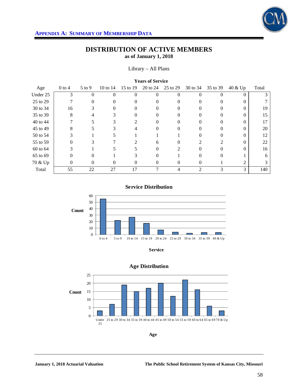

#### Library – All Plans

| <b>Years of Service</b> |          |          |            |               |          |          |                |                          |                |       |
|-------------------------|----------|----------|------------|---------------|----------|----------|----------------|--------------------------|----------------|-------|
| Age                     | $0$ to 4 | $5$ to 9 | 10 to $14$ | 15 to 19      | 20 to 24 | 25 to 29 | 30 to 34       | 35 to 39                 | 40 & Up        | Total |
| Under 25                | 3        | 0        | $\Omega$   | $\Omega$      | $\Omega$ | 0        | $\Omega$       | $\theta$                 | 0              |       |
| 25 to 29                |          | 0        | 0          |               | $\Omega$ | 0        |                | 0                        | 0              |       |
| 30 to 34                | 16       | 3        | 0          | $\theta$      | $\Omega$ | $^{(1)}$ | $\theta$       | 0                        | 0              | 19    |
| 35 to 39                | 8        |          |            |               | $\Omega$ | 0        |                |                          |                | 15    |
| 40 to 44                |          | 5        | 3          | $\mathcal{L}$ | $\Omega$ | 0        | $\theta$       | $\Omega$                 | $\Omega$       | 17    |
| 45 to 49                | 8        |          | 3          |               | 0        | 0        |                | 0                        | 0              | 20    |
| 50 to 54                |          |          |            |               |          |          |                | $\Omega$                 | 0              | 12    |
| 55 to 59                | 0        | 3        |            |               | 6        | $^{(1)}$ |                | $\overline{\mathcal{L}}$ | 0              | 22    |
| 60 to 64                | 3        |          |            |               | $\Omega$ |          |                | 0                        |                | 16    |
| 65 to 69                | $\Omega$ | 0        |            |               | $\Omega$ |          | ∩              | $\Omega$                 |                | 6     |
| 70 & Up                 | 0        | $\Omega$ | 0          | $\theta$      | $\Omega$ | 0        | $\Omega$       |                          | $\mathfrak{D}$ |       |
| Total                   | 55       | 22       | 27         | 17            | 7        | 4        | $\overline{2}$ | 3                        | 3              | 140   |

### **Service Distribution**







**Age**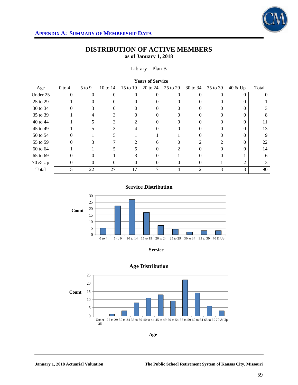

### Library – Plan B

| <b>Years of Service</b> |                |            |          |               |          |          |                |                |          |       |
|-------------------------|----------------|------------|----------|---------------|----------|----------|----------------|----------------|----------|-------|
| Age                     | $0$ to 4       | $5$ to $9$ | 10 to 14 | 15 to 19      | 20 to 24 | 25 to 29 | 30 to 34       | 35 to 39       | 40 & Up  | Total |
| Under 25                | $\overline{0}$ | 0          | $\theta$ | $\theta$      | $\Omega$ | 0        | $\Omega$       | $\Omega$       | $\theta$ |       |
| 25 to 29                |                | 0          | $\Omega$ |               | 0        |          |                | 0              |          |       |
| 30 to 34                | 0              | 3          | 0        | $\Omega$      | $\Omega$ | 0        | $\Omega$       | $\Omega$       | 0        |       |
| 35 to 39                |                |            | 3        |               | 0        | 0        |                |                | 0        | 8     |
| 40 to 44                |                |            | 3        | $\mathcal{L}$ | 0        | 0        |                | 0              | 0        |       |
| 45 to 49                |                |            | 3        |               | $\theta$ |          |                | 0              | 0        | 13    |
| 50 to 54                | $\Omega$       |            |          |               |          |          |                | 0              |          | 9     |
| 55 to 59                | 0              | 3          |          | 2             | 6        | 0        |                | $\mathfrak{D}$ | 0        | 22    |
| 60 to 64                |                |            |          |               | 0        |          |                |                |          | 14    |
| 65 to 69                | 0              | 0          |          |               | $\Omega$ |          |                | 0              |          | 6     |
| 70 & Up                 | 0              | $\Omega$   | 0        | $\theta$      | $\theta$ | 0        | $\theta$       |                |          | 3     |
| Total                   | 5              | 22         | 27       | 17            | ⇁        | 4        | $\overline{2}$ | 3              | 3        | 90    |

### **Service Distribution**



**Service**



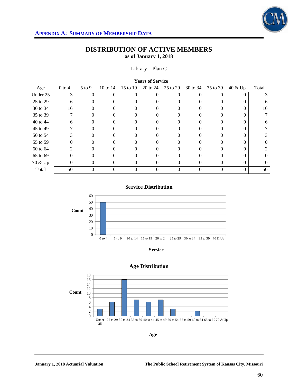

### Library – Plan C

| <b>Years of Service</b> |                             |            |                   |                |          |                   |          |          |          |          |
|-------------------------|-----------------------------|------------|-------------------|----------------|----------|-------------------|----------|----------|----------|----------|
| Age                     | $0$ to 4                    | $5$ to $9$ | 10 to $14$        | 15 to 19       | 20 to 24 | 25 to 29          | 30 to 34 | 35 to 39 | 40 & Up  | Total    |
| Under 25                | 3                           | $\theta$   | 0                 | $\Omega$       | $\Omega$ | 0                 |          | 0        | $\theta$ |          |
| 25 to 29                | 6                           | 0          | 0                 |                | 0        | 0                 |          |          | 0        | 6        |
| 30 to 34                | 16                          | 0          | 0                 | $\Omega$       | 0        | 0                 | $^{(1)}$ | 0        | $\Omega$ | 16       |
| 35 to 39                | 7                           |            | 0                 |                |          | $_{0}$            |          |          | 0        |          |
| 40 to 44                | 6                           | 0          | 0                 | 0              | 0        | 0                 |          | 0        | $\Omega$ | 6        |
| 45 to 49                |                             | $\theta$   | 0                 |                | $\Omega$ | $\mathbf{\Omega}$ |          |          | 0        |          |
| 50 to 54                | 3                           | 0          |                   |                | 0        |                   |          |          |          |          |
| 55 to 59                | 0                           | 0          | 0                 | $\Omega$       | 0        | 0                 | $\Omega$ | 0        | $\Omega$ | $\Omega$ |
| 60 to 64                | $\mathcal{D}_{\mathcal{A}}$ |            | 0                 |                |          | $_{0}$            |          |          | 0        | 2        |
| 65 to 69                | 0                           | $\Omega$   | $\mathbf{\Omega}$ | 0              | 0        | 0                 |          | 0        | 0        | $\Omega$ |
| 70 & Up                 | $\theta$                    | $\Omega$   | 0                 | $\left($       | 0        | $^{(1)}$          | $^{(1)}$ | $\theta$ | $\Omega$ | $\Omega$ |
| Total                   | 50                          | 0          | 0                 | $\overline{0}$ | $\theta$ | 0                 |          | $\theta$ | $\Omega$ | 50       |

### **Service Distribution**









**Age**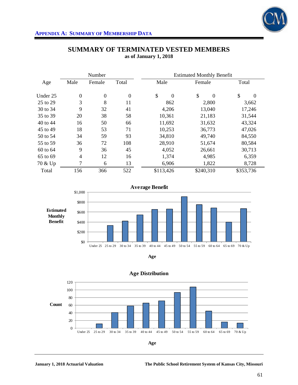

|          |                | Number         | <b>Estimated Monthly Benefit</b> |                      |                |                |  |
|----------|----------------|----------------|----------------------------------|----------------------|----------------|----------------|--|
| Age      | Male           | Female         | Total                            | Male                 | Female         | Total          |  |
| Under 25 | $\overline{0}$ | $\overline{0}$ | $\boldsymbol{0}$                 | \$<br>$\overline{0}$ | \$<br>$\Omega$ | \$<br>$\Omega$ |  |
| 25 to 29 | 3              | 8              | 11                               | 862                  | 2,800          | 3,662          |  |
| 30 to 34 | 9              | 32             | 41                               | 4,206                | 13,040         | 17,246         |  |
| 35 to 39 | 20             | 38             | 58                               | 10,361               | 21,183         | 31,544         |  |
| 40 to 44 | 16             | 50             | 66                               | 11,692               | 31,632         | 43,324         |  |
| 45 to 49 | 18             | 53             | 71                               | 10,253               | 36,773         | 47,026         |  |
| 50 to 54 | 34             | 59             | 93                               | 34,810               | 49,740         | 84,550         |  |
| 55 to 59 | 36             | 72             | 108                              | 28,910               | 51,674         | 80,584         |  |
| 60 to 64 | 9              | 36             | 45                               | 4,052                | 26,661         | 30,713         |  |
| 65 to 69 | 4              | 12             | 16                               | 1,374                | 4,985          | 6,359          |  |
| 70 & Up  | 7              | 6              | 13                               | 6,906                | 1,822          | 8,728          |  |
| Total    | 156            | 366            | 522                              | \$113,426            | \$240,310      | \$353,736      |  |

## **SUMMARY OF TERMINATED VESTED MEMBERS as of January 1, 2018**







**Age Distribution**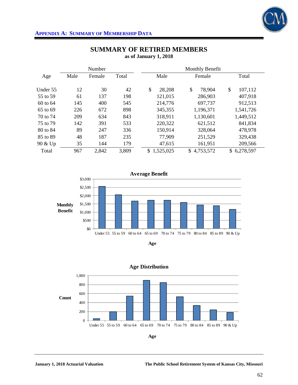

|          |      | Number |       |                 | Monthly Benefit |                 |
|----------|------|--------|-------|-----------------|-----------------|-----------------|
| Age      | Male | Female | Total | Male            | Female          | Total           |
| Under 55 | 12   | 30     | 42    | \$<br>28,208    | \$<br>78,904    | \$<br>107,112   |
| 55 to 59 | 61   | 137    | 198   | 121,015         | 286,903         | 407,918         |
| 60 to 64 | 145  | 400    | 545   | 214,776         | 697,737         | 912,513         |
| 65 to 69 | 226  | 672    | 898   | 345,355         | 1,196,371       | 1,541,726       |
| 70 to 74 | 209  | 634    | 843   | 318,911         | 1,130,601       | 1,449,512       |
| 75 to 79 | 142  | 391    | 533   | 220,322         | 621,512         | 841,834         |
| 80 to 84 | 89   | 247    | 336   | 150,914         | 328,064         | 478,978         |
| 85 to 89 | 48   | 187    | 235   | 77,909          | 251,529         | 329,438         |
| 90 & Up  | 35   | 144    | 179   | 47,615          | 161,951         | 209,566         |
| Total    | 967  | 2,842  | 3,809 | 1,525,025<br>\$ | \$4,753,572     | 6,278,597<br>\$ |







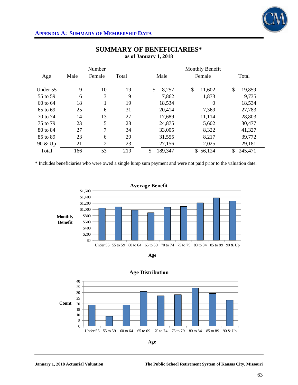

|          |      | Number         |       | Monthly Benefit |              |               |  |  |
|----------|------|----------------|-------|-----------------|--------------|---------------|--|--|
| Age      | Male | Female         | Total | Male            | Female       | Total         |  |  |
| Under 55 | 9    | 10             | 19    | \$<br>8,257     | \$<br>11,602 | \$<br>19,859  |  |  |
| 55 to 59 | 6    | 3              | 9     | 7,862           | 1,873        | 9,735         |  |  |
| 60 to 64 | 18   |                | 19    | 18,534          | $\theta$     | 18,534        |  |  |
| 65 to 69 | 25   | 6              | 31    | 20,414          | 7,369        | 27,783        |  |  |
| 70 to 74 | 14   | 13             | 27    | 17,689          | 11,114       | 28,803        |  |  |
| 75 to 79 | 23   | 5              | 28    | 24,875          | 5,602        | 30,477        |  |  |
| 80 to 84 | 27   | 7              | 34    | 33,005          | 8,322        | 41,327        |  |  |
| 85 to 89 | 23   | 6              | 29    | 31,555          | 8,217        | 39,772        |  |  |
| 90 & Up  | 21   | $\overline{2}$ | 23    | 27,156          | 2,025        | 29,181        |  |  |
| Total    | 166  | 53             | 219   | \$<br>189,347   | \$56,124     | 245,471<br>\$ |  |  |

## **SUMMARY OF BENEFICIARIES\* as of January 1, 2018**

\* Includes beneficiaries who were owed a single lump sum payment and were not paid prior to the valuation date.







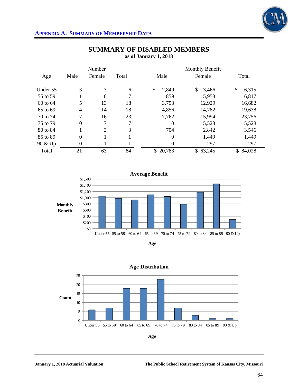

|          |                | Number         |       | Monthly Benefit  |             |             |  |  |
|----------|----------------|----------------|-------|------------------|-------------|-------------|--|--|
| Age      | Male           | Female         | Total | Male             | Female      | Total       |  |  |
| Under 55 | 3              | 3              | 6     | \$<br>2,849      | \$<br>3,466 | \$<br>6,315 |  |  |
| 55 to 59 |                | 6              | 7     | 859              | 5,958       | 6,817       |  |  |
| 60 to 64 | 5              | 13             | 18    | 3,753            | 12,929      | 16,682      |  |  |
| 65 to 69 | $\overline{4}$ | 14             | 18    | 4,856            | 14,782      | 19,638      |  |  |
| 70 to 74 | 7              | 16             | 23    | 7,762            | 15,994      | 23,756      |  |  |
| 75 to 79 | $\theta$       | 7              | 7     | $\overline{0}$   | 5,528       | 5,528       |  |  |
| 80 to 84 |                | $\overline{2}$ | 3     | 704              | 2,842       | 3,546       |  |  |
| 85 to 89 | $\overline{0}$ |                |       | $\boldsymbol{0}$ | 1,449       | 1,449       |  |  |
| 90 & Up  | $\theta$       |                |       | $\boldsymbol{0}$ | 297         | 297         |  |  |
| Total    | 21             | 63             | 84    | \$20,783         | \$63,245    | \$84,028    |  |  |

## **SUMMARY OF DISABLED MEMBERS as of January 1, 2018**







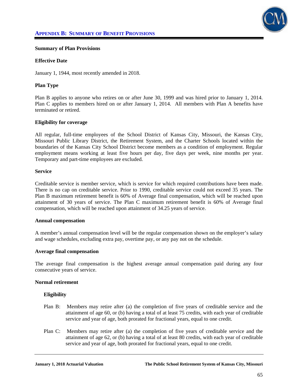

#### **Summary of Plan Provisions**

#### **Effective Date**

January 1, 1944, most recently amended in 2018.

### **Plan Type**

Plan B applies to anyone who retires on or after June 30, 1999 and was hired prior to January 1, 2014. Plan C applies to members hired on or after January 1, 2014. All members with Plan A benefits have terminated or retired.

#### **Eligibility for coverage**

All regular, full-time employees of the School District of Kansas City, Missouri, the Kansas City, Missouri Public Library District, the Retirement System, and the Charter Schools located within the boundaries of the Kansas City School District become members as a condition of employment. Regular employment means working at least five hours per day, five days per week, nine months per year. Temporary and part-time employees are excluded.

#### **Service**

Creditable service is member service, which is service for which required contributions have been made. There is no cap on creditable service. Prior to 1990, creditable service could not exceed 35 years. The Plan B maximum retirement benefit is 60% of Average final compensation, which will be reached upon attainment of 30 years of service. The Plan C maximum retirement benefit is 60% of Average final compensation, which will be reached upon attainment of 34.25 years of service.

#### **Annual compensation**

A member's annual compensation level will be the regular compensation shown on the employer's salary and wage schedules, excluding extra pay, overtime pay, or any pay not on the schedule.

#### **Average final compensation**

The average final compensation is the highest average annual compensation paid during any four consecutive years of service.

#### **Normal retirement**

#### **Eligibility**

- Plan B: Members may retire after (a) the completion of five years of creditable service and the attainment of age 60, or (b) having a total of at least 75 credits, with each year of creditable service and year of age, both prorated for fractional years, equal to one credit.
- Plan C: Members may retire after (a) the completion of five years of creditable service and the attainment of age 62, or (b) having a total of at least 80 credits, with each year of creditable service and year of age, both prorated for fractional years, equal to one credit.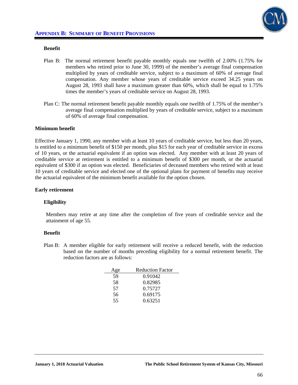

### **Benefit**

- Plan B: The normal retirement benefit payable monthly equals one twelfth of 2.00% (1.75% for members who retired prior to June 30, 1999) of the member's average final compensation multiplied by years of creditable service, subject to a maximum of 60% of average final compensation. Any member whose years of creditable service exceed 34.25 years on August 28, 1993 shall have a maximum greater than 60%, which shall be equal to 1.75% times the member's years of creditable service on August 28, 1993.
- Plan C: The normal retirement benefit payable monthly equals one twelfth of 1.75% of the member's average final compensation multiplied by years of creditable service, subject to a maximum of 60% of average final compensation.

#### **Minimum benefit**

Effective January 1, 1990, any member with at least 10 years of creditable service, but less than 20 years, is entitled to a minimum benefit of \$150 per month, plus \$15 for each year of creditable service in excess of 10 years, or the actuarial equivalent if an option was elected. Any member with at least 20 years of creditable service at retirement is entitled to a minimum benefit of \$300 per month, or the actuarial equivalent of \$300 if an option was elected. Beneficiaries of deceased members who retired with at least 10 years of creditable service and elected one of the optional plans for payment of benefits may receive the actuarial equivalent of the minimum benefit available for the option chosen.

#### **Early retirement**

#### **Eligibility**

Members may retire at any time after the completion of five years of creditable service and the attainment of age 55.

#### **Benefit**

Plan B: A member eligible for early retirement will receive a reduced benefit, with the reduction based on the number of months preceding eligibility for a normal retirement benefit. The reduction factors are as follows:

| Age | <b>Reduction Factor</b> |
|-----|-------------------------|
| 59  | 0.91042                 |
| 58  | 0.82985                 |
| 57  | 0.75727                 |
| 56  | 0.69175                 |
| 55  | 0.63251                 |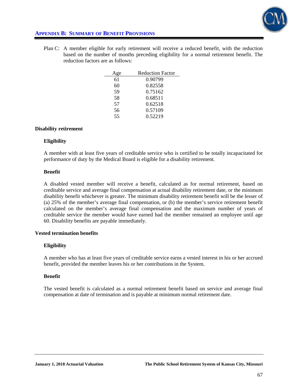

# **APPENDIX B: SUMMARY OF BENEFIT PROVISIONS**

Plan C: A member eligible for early retirement will receive a reduced benefit, with the reduction based on the number of months preceding eligibility for a normal retirement benefit. The reduction factors are as follows:

| ge | <b>Reduction Factor</b> |
|----|-------------------------|
| 61 | 0.90799                 |
| 60 | 0.82558                 |
| 59 | 0.75162                 |
| 58 | 0.68511                 |
| 57 | 0.62518                 |
| 56 | 0.57109                 |
| 55 | 0.52219                 |

#### **Disability retirement**

#### **Eligibility**

A member with at least five years of creditable service who is certified to be totally incapacitated for performance of duty by the Medical Board is eligible for a disability retirement.

#### **Benefit**

A disabled vested member will receive a benefit, calculated as for normal retirement, based on creditable service and average final compensation at actual disability retirement date, or the minimum disability benefit whichever is greater. The minimum disability retirement benefit will be the lesser of (a) 25% of the member's average final compensation, or (b) the member's service retirement benefit calculated on the member's average final compensation and the maximum number of years of creditable service the member would have earned had the member remained an employee until age 60. Disability benefits are payable immediately.

#### **Vested termination benefits**

#### **Eligibility**

A member who has at least five years of creditable service earns a vested interest in his or her accrued benefit, provided the member leaves his or her contributions in the System.

#### **Benefit**

The vested benefit is calculated as a normal retirement benefit based on service and average final compensation at date of termination and is payable at minimum normal retirement date.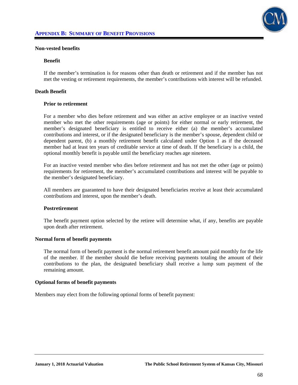

#### **Non-vested benefits**

#### **Benefit**

If the member's termination is for reasons other than death or retirement and if the member has not met the vesting or retirement requirements, the member's contributions with interest will be refunded.

#### **Death Benefit**

#### **Prior to retirement**

For a member who dies before retirement and was either an active employee or an inactive vested member who met the other requirements (age or points) for either normal or early retirement, the member's designated beneficiary is entitled to receive either (a) the member's accumulated contributions and interest, or if the designated beneficiary is the member's spouse, dependent child or dependent parent, (b) a monthly retirement benefit calculated under Option 1 as if the deceased member had at least ten years of creditable service at time of death. If the beneficiary is a child, the optional monthly benefit is payable until the beneficiary reaches age nineteen.

 For an inactive vested member who dies before retirement and has not met the other (age or points) requirements for retirement, the member's accumulated contributions and interest will be payable to the member's designated beneficiary.

 All members are guaranteed to have their designated beneficiaries receive at least their accumulated contributions and interest, upon the member's death.

#### **Postretirement**

The benefit payment option selected by the retiree will determine what, if any, benefits are payable upon death after retirement.

#### **Normal form of benefit payments**

The normal form of benefit payment is the normal retirement benefit amount paid monthly for the life of the member. If the member should die before receiving payments totaling the amount of their contributions to the plan, the designated beneficiary shall receive a lump sum payment of the remaining amount.

#### **Optional forms of benefit payments**

Members may elect from the following optional forms of benefit payment: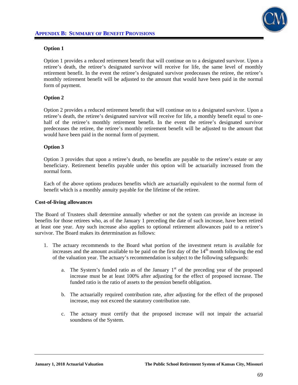

## **Option 1**

Option 1 provides a reduced retirement benefit that will continue on to a designated survivor. Upon a retiree's death, the retiree's designated survivor will receive for life, the same level of monthly retirement benefit. In the event the retiree's designated survivor predeceases the retiree, the retiree's monthly retirement benefit will be adjusted to the amount that would have been paid in the normal form of payment.

## **Option 2**

Option 2 provides a reduced retirement benefit that will continue on to a designated survivor. Upon a retiree's death, the retiree's designated survivor will receive for life, a monthly benefit equal to onehalf of the retiree's monthly retirement benefit. In the event the retiree's designated survivor predeceases the retiree, the retiree's monthly retirement benefit will be adjusted to the amount that would have been paid in the normal form of payment.

## **Option 3**

Option 3 provides that upon a retiree's death, no benefits are payable to the retiree's estate or any beneficiary. Retirement benefits payable under this option will be actuarially increased from the normal form.

 Each of the above options produces benefits which are actuarially equivalent to the normal form of benefit which is a monthly annuity payable for the lifetime of the retiree.

#### **Cost-of-living allowances**

The Board of Trustees shall determine annually whether or not the system can provide an increase in benefits for those retirees who, as of the January 1 preceding the date of such increase, have been retired at least one year. Any such increase also applies to optional retirement allowances paid to a retiree's survivor. The Board makes its determination as follows:

- 1. The actuary recommends to the Board what portion of the investment return is available for increases and the amount available to be paid on the first day of the  $14<sup>th</sup>$  month following the end of the valuation year. The actuary's recommendation is subject to the following safeguards:
	- a. The System's funded ratio as of the January  $1<sup>st</sup>$  of the preceding year of the proposed increase must be at least 100% after adjusting for the effect of proposed increase. The funded ratio is the ratio of assets to the pension benefit obligation.
	- b. The actuarially required contribution rate, after adjusting for the effect of the proposed increase, may not exceed the statutory contribution rate.
	- c. The actuary must certify that the proposed increase will not impair the actuarial soundness of the System.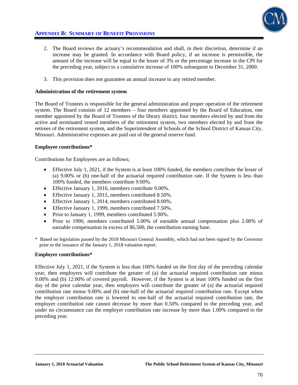

# **APPENDIX B: SUMMARY OF BENEFIT PROVISIONS**

- 2. The Board reviews the actuary's recommendation and shall, in their discretion, determine if an increase may be granted. In accordance with Board policy, if an increase is permissible, the amount of the increase will be equal to the lesser of 3% or the percentage increase in the CPI for the preceding year, subject to a cumulative increase of 100% subsequent to December 31, 2000.
- 3. This provision does not guarantee an annual increase to any retired member.

### **Administration of the retirement system**

The Board of Trustees is responsible for the general administration and proper operation of the retirement system. The Board consists of 12 members – four members appointed by the Board of Education, one member appointed by the Board of Trustees of the library district, four members elected by and from the active and terminated vested members of the retirement system, two members elected by and from the retirees of the retirement system, and the Superintendent of Schools of the School District of Kansas City, Missouri. Administrative expenses are paid out of the general reserve fund.

## **Employee contributions\***

Contributions for Employees are as follows;

- Effective July 1, 2021, if the System is at least 100% funded, the members contribute the lesser of (a) 9.00% or (b) one-half of the actuarial required contribution rate. If the System is less than 100% funded, the members contribute 9.00%.
- Effective January 1, 2016, members contribute 9.00%.
- Effective January 1, 2015, members contributed 8.50%.
- Effective January 1, 2014, members contributed 8.00%.
- Effective January 1, 1999, members contributed 7.50%.
- Prior to January 1, 1999, members contributed 5.90%.
- Prior to 1990, members contributed 5.00% of earnable annual compensation plus 2.00% of earnable compensation in excess of \$6,500, the contribution earning base.
- \* Based on legislation passed by the 2018 Missouri General Assembly, which had not been signed by the Governor prior to the issuance of the January 1, 2018 valuation report.

#### **Employer contributions\***

Effective July 1, 2021, if the System is less than 100% funded on the first day of the preceding calendar year, then employers will contribute the greater of (a) the actuarial required contribution rate minus 9.00% and (b) 12.00% of covered payroll. However, if the System is at least 100% funded on the first day of the prior calendar year, then employers will contribute the greater of (a) the actuarial required contribution rate minus 9.00% and (b) one-half of the actuarial required contribution rate. Except when the employer contribution rate is lowered to one-half of the actuarial required contribution rate, the employer contribution rate cannot decrease by more than 0.50% compared to the preceding year, and under no circumstance can the employer contribution rate increase by more than 1.00% compared to the preceding year.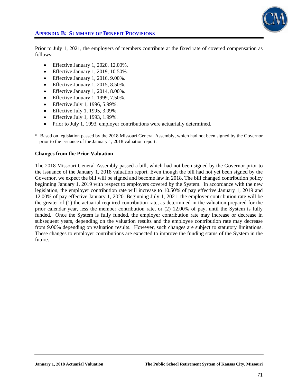

# **APPENDIX B: SUMMARY OF BENEFIT PROVISIONS**

Prior to July 1, 2021, the employers of members contribute at the fixed rate of covered compensation as follows;

- **•** Effective January 1, 2020, 12.00%.
- Effective January 1, 2019, 10.50%.
- $\bullet$  Effective January 1, 2016, 9.00%.
- $\bullet$  Effective January 1, 2015, 8.50%.
- Effective January 1, 2014, 8.00%.
- Effective January 1, 1999, 7.50%.
- **Effective July 1, 1996, 5.99%.**
- Effective July 1, 1995, 3.99%.
- Effective July 1, 1993, 1.99%.
- Prior to July 1, 1993, employer contributions were actuarially determined.
- \* Based on legislation passed by the 2018 Missouri General Assembly, which had not been signed by the Governor prior to the issuance of the January 1, 2018 valuation report.

#### **Changes from the Prior Valuation**

The 2018 Missouri General Assembly passed a bill, which had not been signed by the Governor prior to the issuance of the January 1, 2018 valuation report. Even though the bill had not yet been signed by the Governor, we expect the bill will be signed and become law in 2018. The bill changed contribution policy beginning January 1, 2019 with respect to employers covered by the System. In accordance with the new legislation, the employer contribution rate will increase to 10.50% of pay effective January 1, 2019 and 12.00% of pay effective January 1, 2020. Beginning July 1, 2021, the employer contribution rate will be the greater of (1) the actuarial required contribution rate, as determined in the valuation prepared for the prior calendar year, less the member contribution rate, or (2) 12.00% of pay, until the System is fully funded. Once the System is fully funded, the employer contribution rate may increase or decrease in subsequent years, depending on the valuation results and the employee contribution rate may decrease from 9.00% depending on valuation results. However, such changes are subject to statutory limitations. These changes to employer contributions are expected to improve the funding status of the System in the future.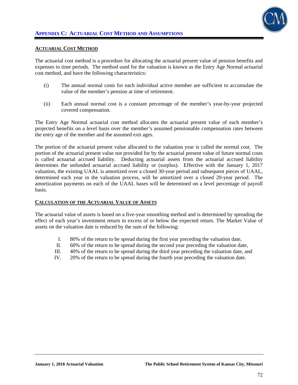

#### **ACTUARIAL COST METHOD**

The actuarial cost method is a procedure for allocating the actuarial present value of pension benefits and expenses to time periods. The method used for the valuation is known as the Entry Age Normal actuarial cost method, and have the following characteristics:

- (i) The annual normal costs for each individual active member are sufficient to accumulate the value of the member's pension at time of retirement.
- (ii) Each annual normal cost is a constant percentage of the member's year-by-year projected covered compensation.

The Entry Age Normal actuarial cost method allocates the actuarial present value of each member's projected benefits on a level basis over the member's assumed pensionable compensation rates between the entry age of the member and the assumed exit ages.

The portion of the actuarial present value allocated to the valuation year is called the normal cost. The portion of the actuarial present value not provided for by the actuarial present value of future normal costs is called actuarial accrued liability. Deducting actuarial assets from the actuarial accrued liability determines the unfunded actuarial accrued liability or (surplus). Effective with the January 1, 2017 valuation, the existing UAAL is amortized over a closed 30-year period and subsequent pieces of UAAL, determined each year in the valuation process, will be amortized over a closed 20-year period. The amortization payments on each of the UAAL bases will be determined on a level percentage of payroll basis.

#### **CALCULATION OF THE ACTUARIAL VALUE OF ASSETS**

The actuarial value of assets is based on a five-year smoothing method and is determined by spreading the effect of each year's investment return in excess of or below the expected return. The Market Value of assets on the valuation date is reduced by the sum of the following:

- I. 80% of the return to be spread during the first year preceding the valuation date,
- II. 60% of the return to be spread during the second year preceding the valuation date,
- III. 40% of the return to be spread during the third year preceding the valuation date, and
- IV. 20% of the return to be spread during the fourth year preceding the valuation date.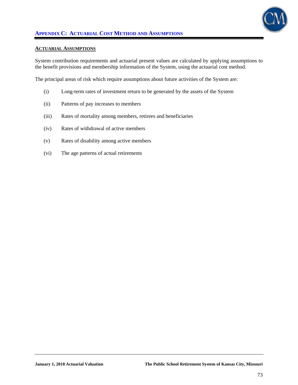

#### **ACTUARIAL ASSUMPTIONS**

System contribution requirements and actuarial present values are calculated by applying assumptions to the benefit provisions and membership information of the System, using the actuarial cost method.

The principal areas of risk which require assumptions about future activities of the System are:

- (i) Long-term rates of investment return to be generated by the assets of the System
- (ii) Patterns of pay increases to members
- (iii) Rates of mortality among members, retirees and beneficiaries
- (iv) Rates of withdrawal of active members
- (v) Rates of disability among active members
- (vi) The age patterns of actual retirements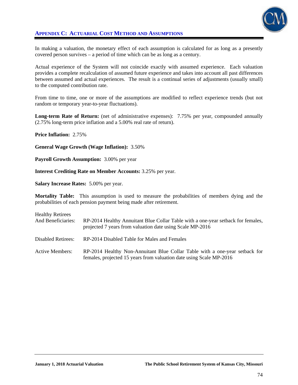

# **APPENDIX C: ACTUARIAL COST METHOD AND ASSUMPTIONS**

In making a valuation, the monetary effect of each assumption is calculated for as long as a presently covered person survives – a period of time which can be as long as a century.

Actual experience of the System will not coincide exactly with assumed experience. Each valuation provides a complete recalculation of assumed future experience and takes into account all past differences between assumed and actual experiences. The result is a continual series of adjustments (usually small) to the computed contribution rate.

From time to time, one or more of the assumptions are modified to reflect experience trends (but not random or temporary year-to-year fluctuations).

**Long-term Rate of Return:** (net of administrative expenses): 7.75% per year, compounded annually (2.75% long-term price inflation and a 5.00% real rate of return).

**Price Inflation:** 2.75%

**General Wage Growth (Wage Inflation):** 3.50%

**Payroll Growth Assumption:** 3.00% per year

**Interest Crediting Rate on Member Accounts:** 3.25% per year.

**Salary Increase Rates:** 5.00% per year.

**Mortality Table:** This assumption is used to measure the probabilities of members dying and the probabilities of each pension payment being made after retirement.

| <b>Healthy Retirees</b><br>And Beneficiaries: | RP-2014 Healthy Annuitant Blue Collar Table with a one-year setback for females,<br>projected 7 years from valuation date using Scale MP-2016      |
|-----------------------------------------------|----------------------------------------------------------------------------------------------------------------------------------------------------|
| Disabled Retirees:                            | RP-2014 Disabled Table for Males and Females                                                                                                       |
| <b>Active Members:</b>                        | RP-2014 Healthy Non-Annuitant Blue Collar Table with a one-year setback for<br>females, projected 15 years from valuation date using Scale MP-2016 |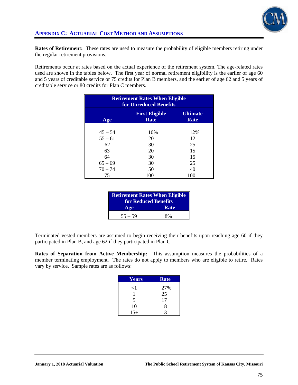

**Rates of Retirement:** These rates are used to measure the probability of eligible members retiring under the regular retirement provisions.

Retirements occur at rates based on the actual experience of the retirement system. The age-related rates used are shown in the tables below. The first year of normal retirement eligibility is the earlier of age 60 and 5 years of creditable service or 75 credits for Plan B members, and the earlier of age 62 and 5 years of creditable service or 80 credits for Plan C members.

| <b>Retirement Rates When Eligible</b><br>for Unreduced Benefits |                                      |                         |  |  |
|-----------------------------------------------------------------|--------------------------------------|-------------------------|--|--|
| Age                                                             | <b>First Eligible</b><br><b>Rate</b> | <b>Ultimate</b><br>Rate |  |  |
| $45 - 54$                                                       | 10%                                  | 12%                     |  |  |
| $55 - 61$                                                       | 20                                   | 12                      |  |  |
| 62                                                              | 30                                   | 25                      |  |  |
| 63                                                              | 20                                   | 15                      |  |  |
| 64                                                              | 30                                   | 15                      |  |  |
| $65 - 69$                                                       | 30                                   | 25                      |  |  |
| $70 - 74$                                                       | 50                                   | 40                      |  |  |
| 75                                                              | 100                                  | 100                     |  |  |

| <b>Retirement Rates When Eligible</b><br>for Reduced Benefits |      |  |
|---------------------------------------------------------------|------|--|
| Age                                                           | Rate |  |
| $55 - 59$                                                     | 8%   |  |

Terminated vested members are assumed to begin receiving their benefits upon reaching age 60 if they participated in Plan B, and age 62 if they participated in Plan C.

**Rates of Separation from Active Membership:** This assumption measures the probabilities of a member terminating employment. The rates do not apply to members who are eligible to retire. Rates vary by service. Sample rates are as follows:

| Years    | <b>Rate</b> |
|----------|-------------|
| $\leq$ 1 | 27%         |
|          | 25          |
| 5        | 17          |
| 10       | 8           |
| $15+$    | 2           |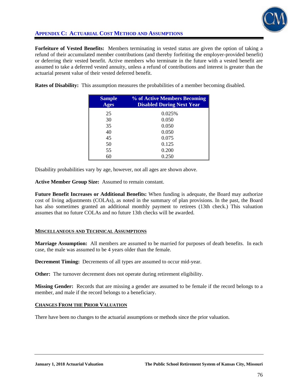

# **APPENDIX C: ACTUARIAL COST METHOD AND ASSUMPTIONS**

**Forfeiture of Vested Benefits:** Members terminating in vested status are given the option of taking a refund of their accumulated member contributions (and thereby forfeiting the employer-provided benefit) or deferring their vested benefit. Active members who terminate in the future with a vested benefit are assumed to take a deferred vested annuity, unless a refund of contributions and interest is greater than the actuarial present value of their vested deferred benefit.

**Rates of Disability:** This assumption measures the probabilities of a member becoming disabled.

| <b>Sample</b><br><b>Ages</b> | % of Active Members Becoming<br><b>Disabled During Next Year</b> |
|------------------------------|------------------------------------------------------------------|
| 25                           | 0.025%                                                           |
| 30                           | 0.050                                                            |
| 35                           | 0.050                                                            |
| 40                           | 0.050                                                            |
| 45                           | 0.075                                                            |
| 50                           | 0.125                                                            |
| 55                           | 0.200                                                            |
| 60                           | 0.250                                                            |

Disability probabilities vary by age, however, not all ages are shown above.

**Active Member Group Size:** Assumed to remain constant.

**Future Benefit Increases or Additional Benefits:** When funding is adequate, the Board may authorize cost of living adjustments (COLAs), as noted in the summary of plan provisions. In the past, the Board has also sometimes granted an additional monthly payment to retirees (13th check.) This valuation assumes that no future COLAs and no future 13th checks will be awarded.

# **MISCELLANEOUS AND TECHNICAL ASSUMPTIONS**

**Marriage Assumption:** All members are assumed to be married for purposes of death benefits. In each case, the male was assumed to be 4 years older than the female.

**Decrement Timing:** Decrements of all types are assumed to occur mid-year.

**Other:** The turnover decrement does not operate during retirement eligibility.

**Missing Gender:** Records that are missing a gender are assumed to be female if the record belongs to a member, and male if the record belongs to a beneficiary.

# **CHANGES FROM THE PRIOR VALUATION**

There have been no changes to the actuarial assumptions or methods since the prior valuation.